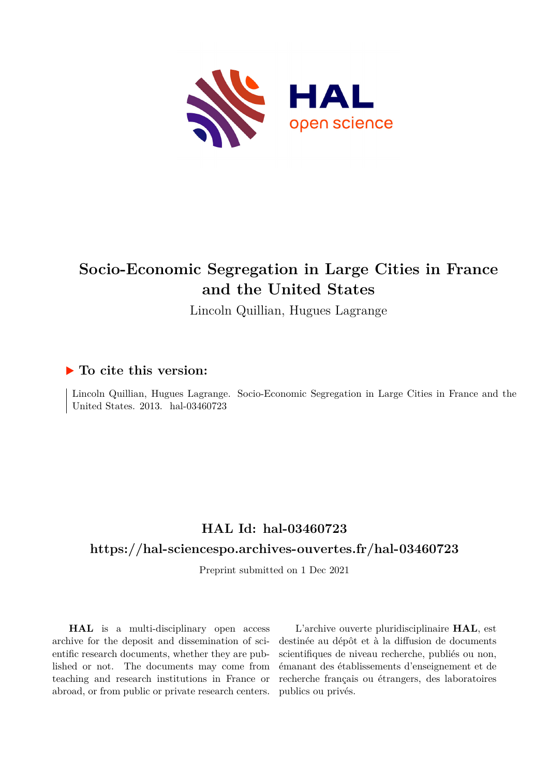

# **Socio-Economic Segregation in Large Cities in France and the United States**

Lincoln Quillian, Hugues Lagrange

## **To cite this version:**

Lincoln Quillian, Hugues Lagrange. Socio-Economic Segregation in Large Cities in France and the United States. 2013. hal-03460723

# **HAL Id: hal-03460723**

## **<https://hal-sciencespo.archives-ouvertes.fr/hal-03460723>**

Preprint submitted on 1 Dec 2021

**HAL** is a multi-disciplinary open access archive for the deposit and dissemination of scientific research documents, whether they are published or not. The documents may come from teaching and research institutions in France or abroad, or from public or private research centers.

L'archive ouverte pluridisciplinaire **HAL**, est destinée au dépôt et à la diffusion de documents scientifiques de niveau recherche, publiés ou non, émanant des établissements d'enseignement et de recherche français ou étrangers, des laboratoires publics ou privés.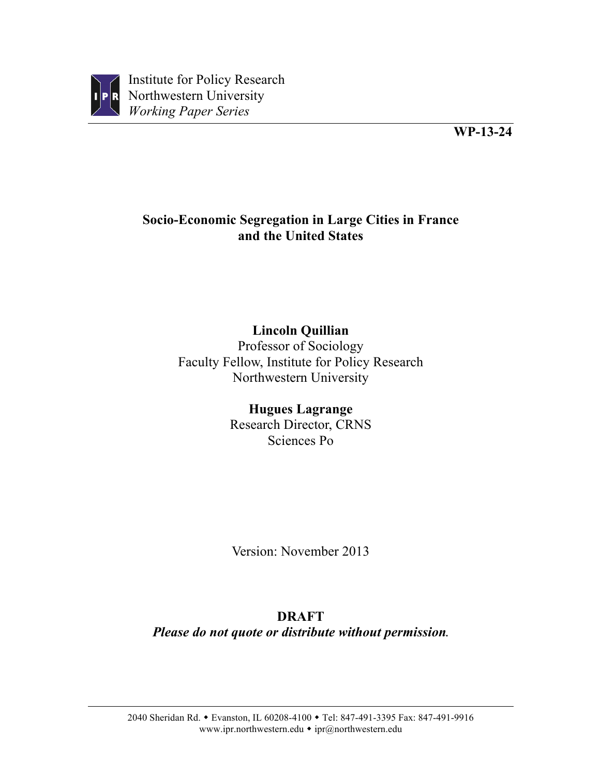

Institute for Policy Research Northwestern University *Working Paper Series*

# **Socio-Economic Segregation in Large Cities in France and the United States**

# **Lincoln Quillian**

Professor of Sociology Faculty Fellow, Institute for Policy Research Northwestern University

# **Hugues Lagrange**

Research Director, CRNS Sciences Po

Version: November 2013

# **DRAFT**

*Please do not quote or distribute without permission.*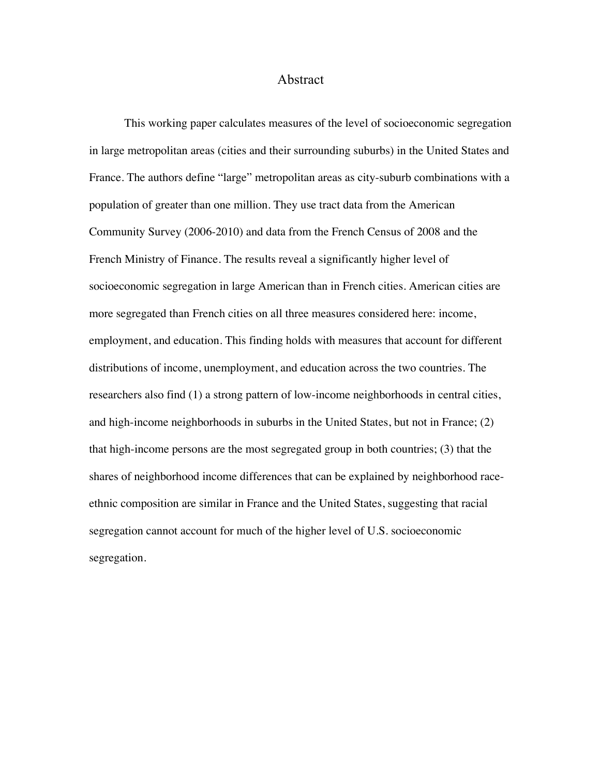#### Abstract

This working paper calculates measures of the level of socioeconomic segregation in large metropolitan areas (cities and their surrounding suburbs) in the United States and France. The authors define "large" metropolitan areas as city-suburb combinations with a population of greater than one million. They use tract data from the American Community Survey (2006-2010) and data from the French Census of 2008 and the French Ministry of Finance. The results reveal a significantly higher level of socioeconomic segregation in large American than in French cities. American cities are more segregated than French cities on all three measures considered here: income, employment, and education. This finding holds with measures that account for different distributions of income, unemployment, and education across the two countries. The researchers also find (1) a strong pattern of low-income neighborhoods in central cities, and high-income neighborhoods in suburbs in the United States, but not in France; (2) that high-income persons are the most segregated group in both countries; (3) that the shares of neighborhood income differences that can be explained by neighborhood raceethnic composition are similar in France and the United States, suggesting that racial segregation cannot account for much of the higher level of U.S. socioeconomic segregation.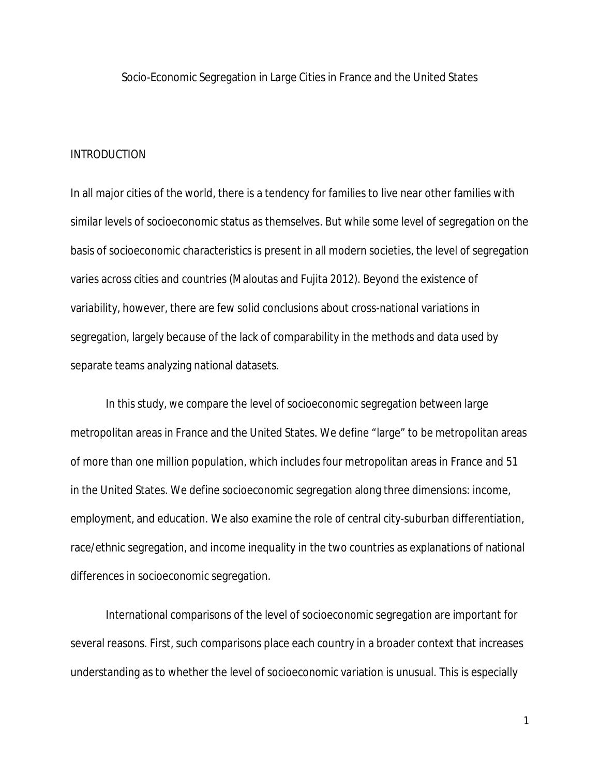Socio-Economic Segregation in Large Cities in France and the United States

#### INTRODUCTION

In all major cities of the world, there is a tendency for families to live near other families with similar levels of socioeconomic status as themselves. But while some level of segregation on the basis of socioeconomic characteristics is present in all modern societies, the level of segregation varies across cities and countries (Maloutas and Fujita 2012). Beyond the existence of variability, however, there are few solid conclusions about cross-national variations in segregation, largely because of the lack of comparability in the methods and data used by separate teams analyzing national datasets.

In this study, we compare the level of socioeconomic segregation between large metropolitan areas in France and the United States. We define "large" to be metropolitan areas of more than one million population, which includes four metropolitan areas in France and 51 in the United States. We define socioeconomic segregation along three dimensions: income, employment, and education. We also examine the role of central city-suburban differentiation, race/ethnic segregation, and income inequality in the two countries as explanations of national differences in socioeconomic segregation.

International comparisons of the level of socioeconomic segregation are important for several reasons. First, such comparisons place each country in a broader context that increases understanding as to whether the level of socioeconomic variation is unusual. This is especially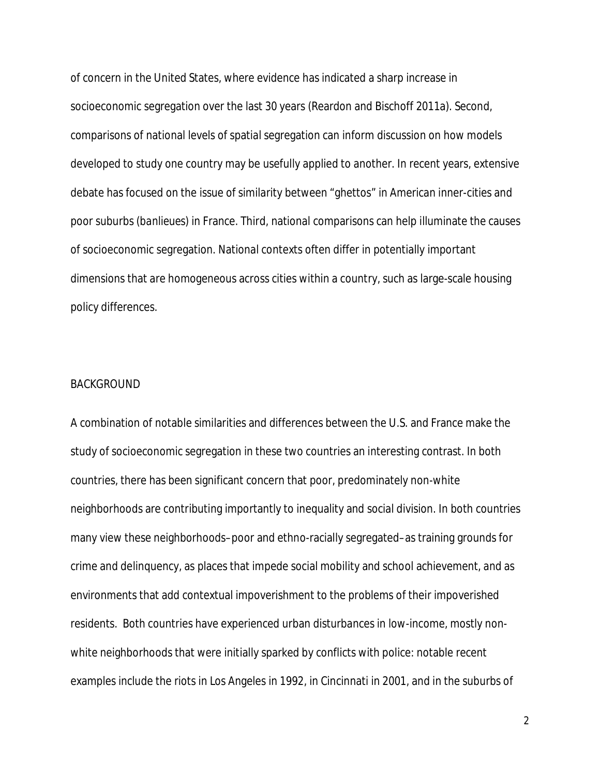of concern in the United States, where evidence has indicated a sharp increase in socioeconomic segregation over the last 30 years (Reardon and Bischoff 2011a). Second, comparisons of national levels of spatial segregation can inform discussion on how models developed to study one country may be usefully applied to another. In recent years, extensive debate has focused on the issue of similarity between "ghettos" in American inner-cities and poor suburbs (*banlieues*) in France. Third, national comparisons can help illuminate the causes of socioeconomic segregation. National contexts often differ in potentially important dimensions that are homogeneous across cities within a country, such as large-scale housing policy differences.

#### **BACKGROUND**

A combination of notable similarities and differences between the U.S. and France make the study of socioeconomic segregation in these two countries an interesting contrast. In both countries, there has been significant concern that poor, predominately non-white neighborhoods are contributing importantly to inequality and social division. In both countries many view these neighborhoods–poor and ethno-racially segregated–as training grounds for crime and delinquency, as places that impede social mobility and school achievement, and as environments that add contextual impoverishment to the problems of their impoverished residents. Both countries have experienced urban disturbances in low-income, mostly nonwhite neighborhoods that were initially sparked by conflicts with police: notable recent examples include the riots in Los Angeles in 1992, in Cincinnati in 2001, and in the suburbs of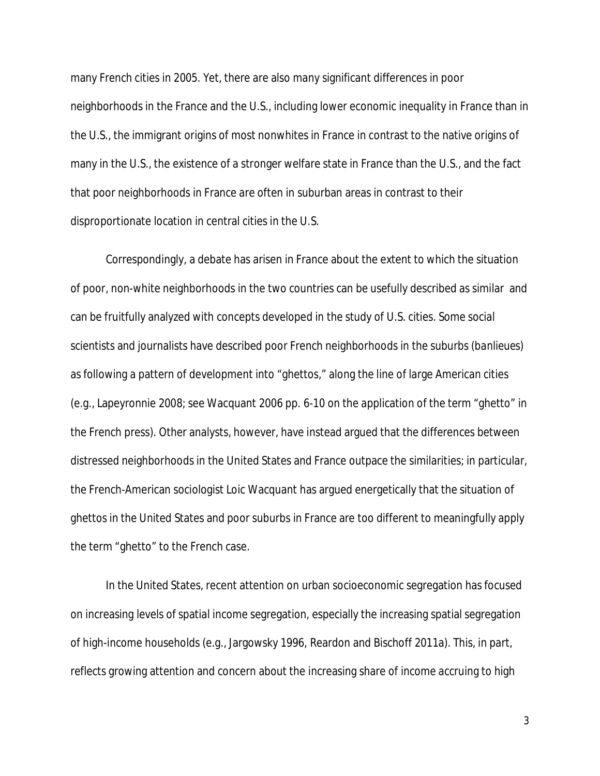many French cities in 2005. Yet, there are also many significant differences in poor neighborhoods in the France and the U.S., including lower economic inequality in France than in the U.S., the immigrant origins of most nonwhites in France in contrast to the native origins of many in the U.S., the existence of a stronger welfare state in France than the U.S., and the fact that poor neighborhoods in France are often in suburban areas in contrast to their disproportionate location in central cities in the U.S.

Correspondingly, a debate has arisen in France about the extent to which the situation of poor, non-white neighborhoods in the two countries can be usefully described as similar and can be fruitfully analyzed with concepts developed in the study of U.S. cities. Some social scientists and journalists have described poor French neighborhoods in the suburbs (*banlieues*) as following a pattern of development into "ghettos," along the line of large American cities (e.g., Lapeyronnie 2008; see Wacquant 2006 pp. 6-10 on the application of the term "ghetto" in the French press). Other analysts, however, have instead argued that the differences between distressed neighborhoods in the United States and France outpace the similarities; in particular, the French-American sociologist Loic Wacquant has argued energetically that the situation of ghettos in the United States and poor suburbs in France are too different to meaningfully apply the term "ghetto" to the French case.

In the United States, recent attention on urban socioeconomic segregation has focused on increasing levels of spatial income segregation, especially the increasing spatial segregation of high-income households (e.g., Jargowsky 1996, Reardon and Bischoff 2011a). This, in part, reflects growing attention and concern about the increasing share of income accruing to high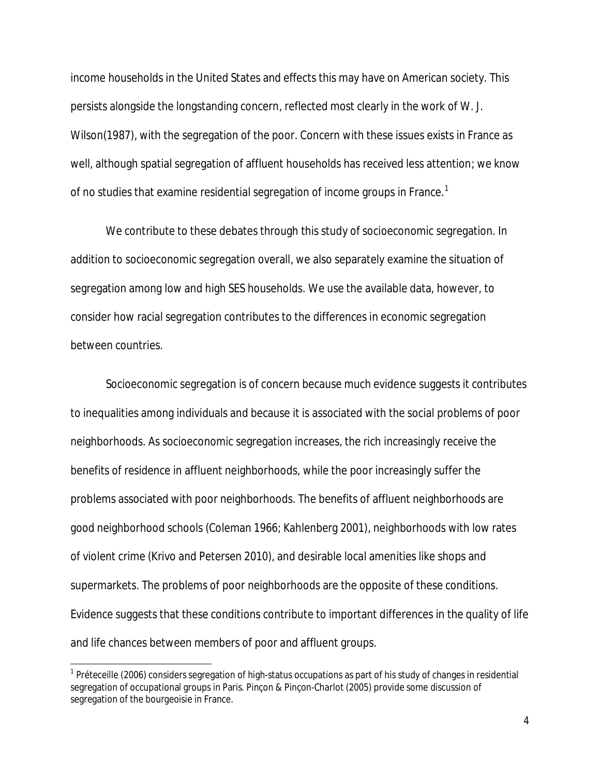income households in the United States and effects this may have on American society. This persists alongside the longstanding concern, reflected most clearly in the work of W. J. Wilson(1987), with the segregation of the poor. Concern with these issues exists in France as well, although spatial segregation of affluent households has received less attention; we know of no studies that examine residential segregation of income groups in France. $^{\text{1}}$ 

We contribute to these debates through this study of socioeconomic segregation. In addition to socioeconomic segregation overall, we also separately examine the situation of segregation among low and high SES households. We use the available data, however, to consider how racial segregation contributes to the differences in economic segregation between countries.

Socioeconomic segregation is of concern because much evidence suggests it contributes to inequalities among individuals and because it is associated with the social problems of poor neighborhoods. As socioeconomic segregation increases, the rich increasingly receive the benefits of residence in affluent neighborhoods, while the poor increasingly suffer the problems associated with poor neighborhoods. The benefits of affluent neighborhoods are good neighborhood schools (Coleman 1966; Kahlenberg 2001), neighborhoods with low rates of violent crime (Krivo and Petersen 2010), and desirable local amenities like shops and supermarkets. The problems of poor neighborhoods are the opposite of these conditions. Evidence suggests that these conditions contribute to important differences in the quality of life and life chances between members of poor and affluent groups.

 $\overline{a}$ 

 $^1$  Préteceille (2006) considers segregation of high-status occupations as part of his study of changes in residential segregation of occupational groups in Paris. Pinçon & Pinçon-Charlot (2005) provide some discussion of segregation of the bourgeoisie in France.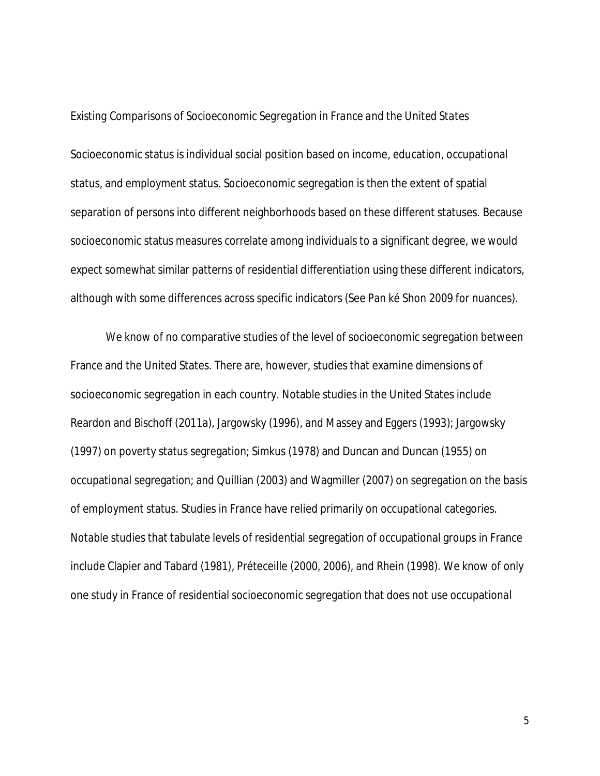#### *Existing Comparisons of Socioeconomic Segregation in France and the United States*

Socioeconomic status is individual social position based on income, education, occupational status, and employment status. Socioeconomic segregation is then the extent of spatial separation of persons into different neighborhoods based on these different statuses. Because socioeconomic status measures correlate among individuals to a significant degree, we would expect somewhat similar patterns of residential differentiation using these different indicators, although with some differences across specific indicators (See Pan ké Shon 2009 for nuances).

We know of no comparative studies of the level of socioeconomic segregation between France and the United States. There are, however, studies that examine dimensions of socioeconomic segregation in each country. Notable studies in the United States include Reardon and Bischoff (2011a), Jargowsky (1996), and Massey and Eggers (1993); Jargowsky (1997) on poverty status segregation; Simkus (1978) and Duncan and Duncan (1955) on occupational segregation; and Quillian (2003) and Wagmiller (2007) on segregation on the basis of employment status. Studies in France have relied primarily on occupational categories. Notable studies that tabulate levels of residential segregation of occupational groups in France include Clapier and Tabard (1981), Préteceille (2000, 2006), and Rhein (1998). We know of only one study in France of residential socioeconomic segregation that does not use occupational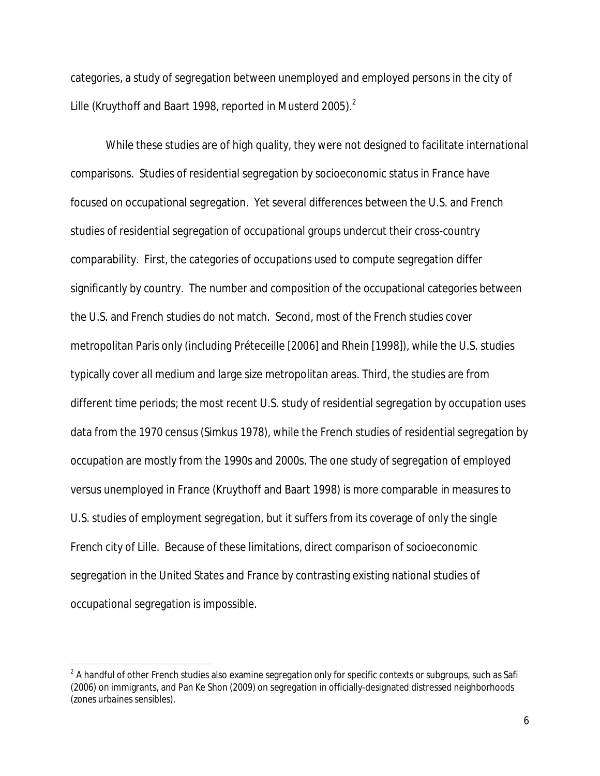categories, a study of segregation between unemployed and employed persons in the city of Lille (Kruythoff and Baart 1998, reported in Musterd 2005). $^{\text{2}}$ 

While these studies are of high quality, they were not designed to facilitate international comparisons. Studies of residential segregation by socioeconomic status in France have focused on occupational segregation. Yet several differences between the U.S. and French studies of residential segregation of occupational groups undercut their cross-country comparability. First, the categories of occupations used to compute segregation differ significantly by country. The number and composition of the occupational categories between the U.S. and French studies do not match. Second, most of the French studies cover metropolitan Paris only (including Préteceille [2006] and Rhein [1998]), while the U.S. studies typically cover all medium and large size metropolitan areas. Third, the studies are from different time periods; the most recent U.S. study of residential segregation by occupation uses data from the 1970 census (Simkus 1978), while the French studies of residential segregation by occupation are mostly from the 1990s and 2000s. The one study of segregation of employed versus unemployed in France (Kruythoff and Baart 1998) is more comparable in measures to U.S. studies of employment segregation, but it suffers from its coverage of only the single French city of Lille. Because of these limitations, direct comparison of socioeconomic segregation in the United States and France by contrasting existing national studies of occupational segregation is impossible.

 $\overline{a}$ 

 $^2$  A handful of other French studies also examine segregation only for specific contexts or subgroups, such as Safi (2006) on immigrants, and Pan Ke Shon (2009) on segregation in officially-designated distressed neighborhoods (*zones urbaines sensibles*).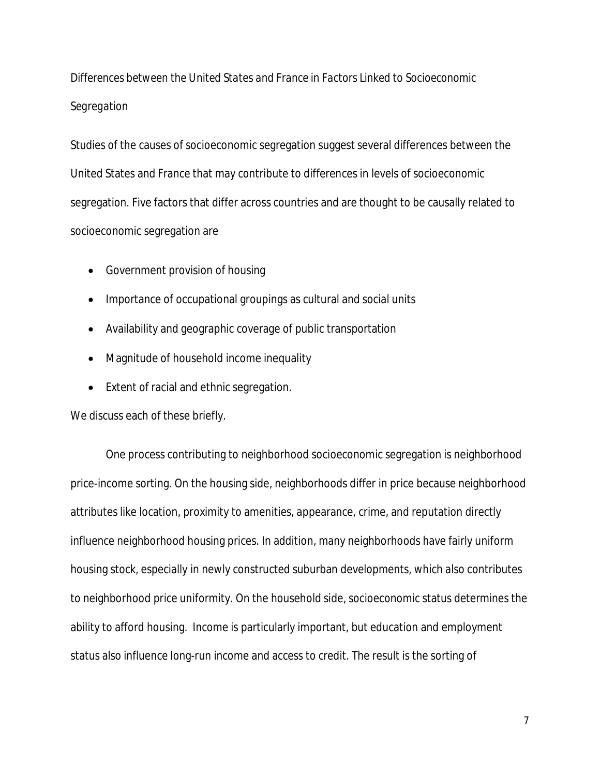# *Differences between the United States and France in Factors Linked to Socioeconomic Segregation*

Studies of the causes of socioeconomic segregation suggest several differences between the United States and France that may contribute to differences in levels of socioeconomic segregation. Five factors that differ across countries and are thought to be causally related to socioeconomic segregation are

- Government provision of housing
- Importance of occupational groupings as cultural and social units
- Availability and geographic coverage of public transportation
- Magnitude of household income inequality
- Extent of racial and ethnic segregation.

We discuss each of these briefly.

One process contributing to neighborhood socioeconomic segregation is neighborhood price-income sorting. On the housing side, neighborhoods differ in price because neighborhood attributes like location, proximity to amenities, appearance, crime, and reputation directly influence neighborhood housing prices. In addition, many neighborhoods have fairly uniform housing stock, especially in newly constructed suburban developments, which also contributes to neighborhood price uniformity. On the household side, socioeconomic status determines the ability to afford housing. Income is particularly important, but education and employment status also influence long-run income and access to credit. The result is the sorting of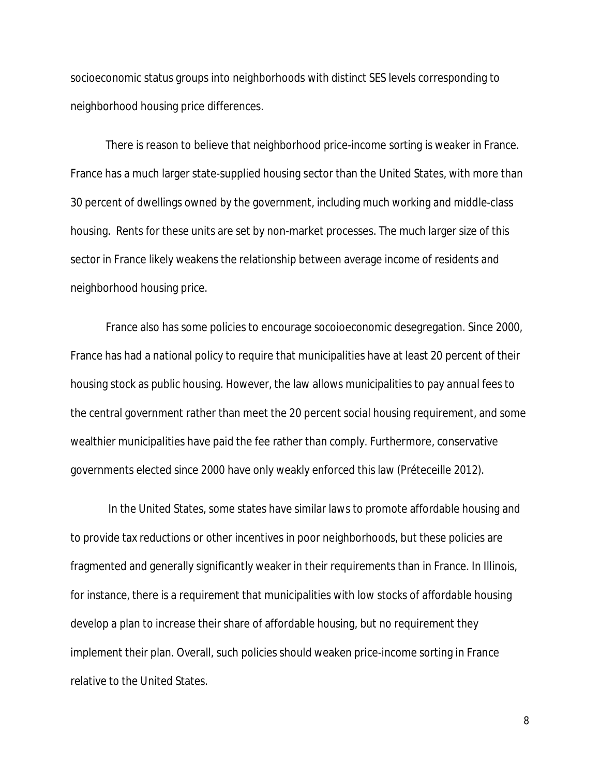socioeconomic status groups into neighborhoods with distinct SES levels corresponding to neighborhood housing price differences.

There is reason to believe that neighborhood price-income sorting is weaker in France. France has a much larger state-supplied housing sector than the United States, with more than 30 percent of dwellings owned by the government, including much working and middle-class housing. Rents for these units are set by non-market processes. The much larger size of this sector in France likely weakens the relationship between average income of residents and neighborhood housing price.

France also has some policies to encourage socoioeconomic desegregation. Since 2000, France has had a national policy to require that municipalities have at least 20 percent of their housing stock as public housing. However, the law allows municipalities to pay annual fees to the central government rather than meet the 20 percent social housing requirement, and some wealthier municipalities have paid the fee rather than comply. Furthermore, conservative governments elected since 2000 have only weakly enforced this law (Préteceille 2012).

In the United States, some states have similar laws to promote affordable housing and to provide tax reductions or other incentives in poor neighborhoods, but these policies are fragmented and generally significantly weaker in their requirements than in France. In Illinois, for instance, there is a requirement that municipalities with low stocks of affordable housing develop a plan to increase their share of affordable housing, but no requirement they implement their plan. Overall, such policies should weaken price-income sorting in France relative to the United States.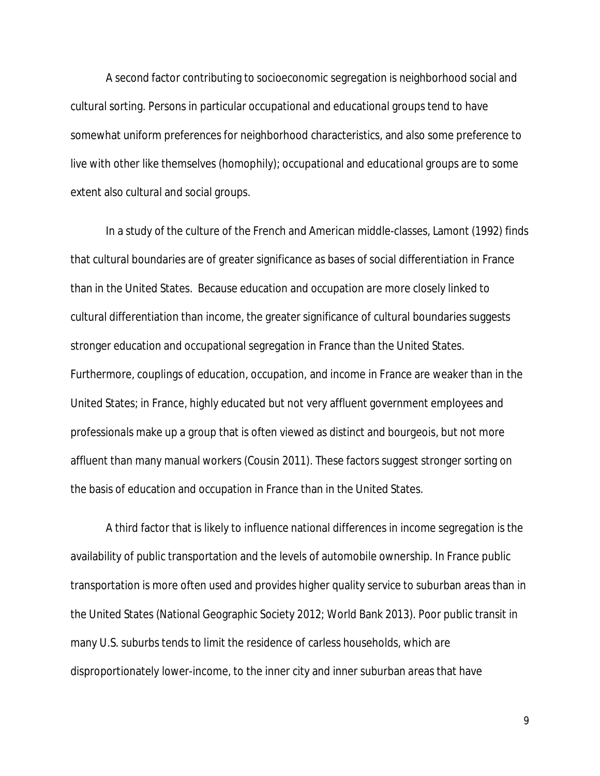A second factor contributing to socioeconomic segregation is neighborhood social and cultural sorting. Persons in particular occupational and educational groups tend to have somewhat uniform preferences for neighborhood characteristics, and also some preference to live with other like themselves (homophily); occupational and educational groups are to some extent also cultural and social groups.

In a study of the culture of the French and American middle-classes, Lamont (1992) finds that cultural boundaries are of greater significance as bases of social differentiation in France than in the United States. Because education and occupation are more closely linked to cultural differentiation than income, the greater significance of cultural boundaries suggests stronger education and occupational segregation in France than the United States. Furthermore, couplings of education, occupation, and income in France are weaker than in the United States; in France, highly educated but not very affluent government employees and professionals make up a group that is often viewed as distinct and bourgeois, but not more affluent than many manual workers (Cousin 2011). These factors suggest stronger sorting on the basis of education and occupation in France than in the United States.

A third factor that is likely to influence national differences in income segregation is the availability of public transportation and the levels of automobile ownership. In France public transportation is more often used and provides higher quality service to suburban areas than in the United States (National Geographic Society 2012; World Bank 2013). Poor public transit in many U.S. suburbs tends to limit the residence of carless households, which are disproportionately lower-income, to the inner city and inner suburban areas that have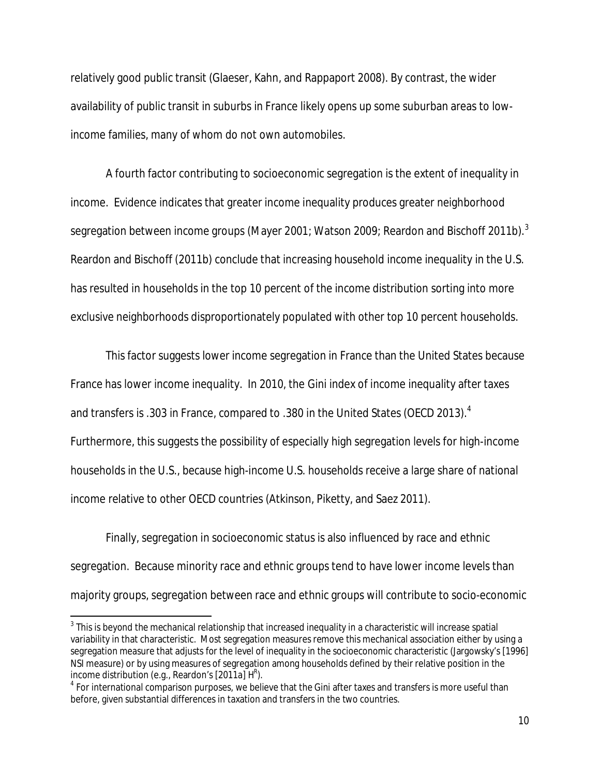relatively good public transit (Glaeser, Kahn, and Rappaport 2008). By contrast, the wider availability of public transit in suburbs in France likely opens up some suburban areas to lowincome families, many of whom do not own automobiles.

A fourth factor contributing to socioeconomic segregation is the extent of inequality in income. Evidence indicates that greater income inequality produces greater neighborhood segregation between income groups (Mayer 2001; Watson 2009; Reardon and Bischoff 2011b). $^3$ Reardon and Bischoff (2011b) conclude that increasing household income inequality in the U.S. has resulted in households in the top 10 percent of the income distribution sorting into more exclusive neighborhoods disproportionately populated with other top 10 percent households.

This factor suggests lower income segregation in France than the United States because France has lower income inequality. In 2010, the Gini index of income inequality after taxes and transfers is .303 in France, compared to .380 in the United States (OECD 2013). $^4\,$ Furthermore, this suggests the possibility of especially high segregation levels for high-income households in the U.S., because high-income U.S. households receive a large share of national income relative to other OECD countries (Atkinson, Piketty, and Saez 2011).

Finally, segregation in socioeconomic status is also influenced by race and ethnic segregation. Because minority race and ethnic groups tend to have lower income levels than majority groups, segregation between race and ethnic groups will contribute to socio-economic

 3 This is beyond the mechanical relationship that increased inequality in a characteristic will increase spatial variability in that characteristic. Most segregation measures remove this mechanical association either by using a segregation measure that adjusts for the level of inequality in the socioeconomic characteristic (Jargowsky's [1996] NSI measure) or by using measures of segregation among households defined by their relative position in the income distribution (e.g., Reardon's [2011a]  $H<sup>R</sup>$ ).

 $^4$  For international comparison purposes, we believe that the Gini after taxes and transfers is more useful than before, given substantial differences in taxation and transfers in the two countries.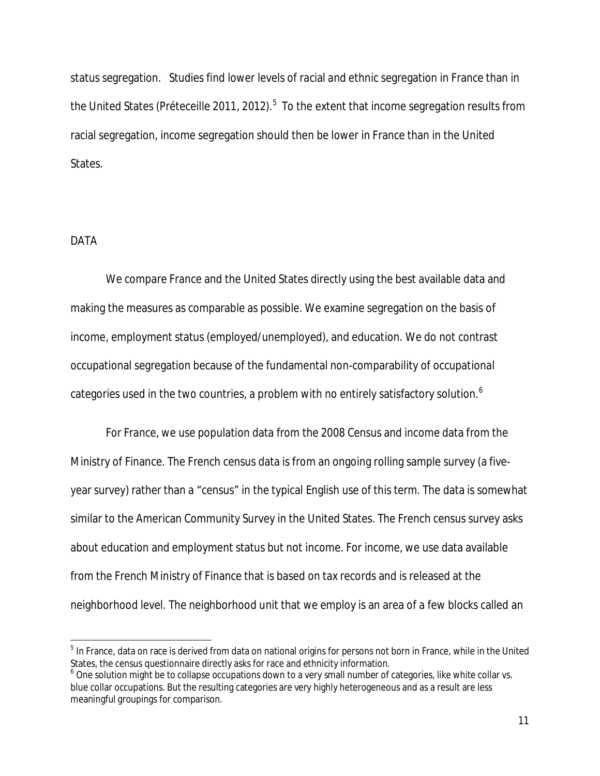status segregation. Studies find lower levels of racial and ethnic segregation in France than in the United States (Préteceille 2011, 2012). $^5\,$  To the extent that income segregation results from racial segregation, income segregation should then be lower in France than in the United States.

#### DATA

 $\overline{a}$ 

We compare France and the United States directly using the best available data and making the measures as comparable as possible. We examine segregation on the basis of income, employment status (employed/unemployed), and education. We do not contrast occupational segregation because of the fundamental non-comparability of occupational categories used in the two countries, a problem with no entirely satisfactory solution.<sup>6</sup>

For France, we use population data from the 2008 Census and income data from the Ministry of Finance. The French census data is from an ongoing rolling sample survey (a fiveyear survey) rather than a "census" in the typical English use of this term. The data is somewhat similar to the American Community Survey in the United States. The French census survey asks about education and employment status but not income. For income, we use data available from the French Ministry of Finance that is based on tax records and is released at the neighborhood level. The neighborhood unit that we employ is an area of a few blocks called an

 $^5$  In France, data on race is derived from data on national origins for persons not born in France, while in the United States, the census questionnaire directly asks for race and ethnicity information.

 $^6$  One solution might be to collapse occupations down to a very small number of categories, like white collar vs. blue collar occupations. But the resulting categories are very highly heterogeneous and as a result are less meaningful groupings for comparison.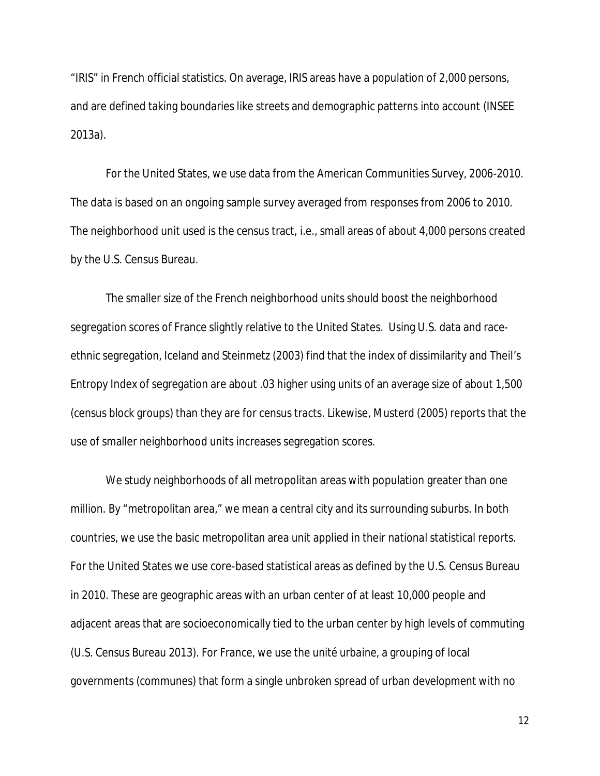"IRIS" in French official statistics. On average, IRIS areas have a population of 2,000 persons, and are defined taking boundaries like streets and demographic patterns into account (INSEE 2013a).

For the United States, we use data from the American Communities Survey, 2006-2010. The data is based on an ongoing sample survey averaged from responses from 2006 to 2010. The neighborhood unit used is the census tract, i.e., small areas of about 4,000 persons created by the U.S. Census Bureau.

The smaller size of the French neighborhood units should boost the neighborhood segregation scores of France slightly relative to the United States. Using U.S. data and raceethnic segregation, Iceland and Steinmetz (2003) find that the index of dissimilarity and Theil's Entropy Index of segregation are about .03 higher using units of an average size of about 1,500 (census block groups) than they are for census tracts. Likewise, Musterd (2005) reports that the use of smaller neighborhood units increases segregation scores.

We study neighborhoods of all metropolitan areas with population greater than one million. By "metropolitan area," we mean a central city and its surrounding suburbs. In both countries, we use the basic metropolitan area unit applied in their national statistical reports. For the United States we use core-based statistical areas as defined by the U.S. Census Bureau in 2010. These are geographic areas with an urban center of at least 10,000 people and adjacent areas that are socioeconomically tied to the urban center by high levels of commuting (U.S. Census Bureau 2013). For France, we use the *unité urbaine*, a grouping of local governments (communes) that form a single unbroken spread of urban development with no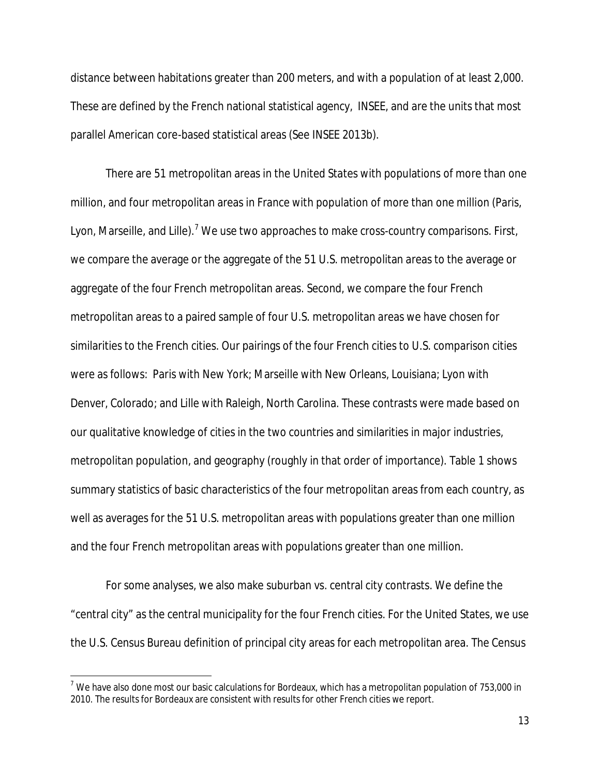distance between habitations greater than 200 meters, and with a population of at least 2,000. These are defined by the French national statistical agency, INSEE, and are the units that most parallel American core-based statistical areas (See INSEE 2013b).

There are 51 metropolitan areas in the United States with populations of more than one million, and four metropolitan areas in France with population of more than one million (Paris, Lyon, Marseille, and Lille).<sup>7</sup> We use two approaches to make cross-country comparisons. First, we compare the average or the aggregate of the 51 U.S. metropolitan areas to the average or aggregate of the four French metropolitan areas. Second, we compare the four French metropolitan areas to a paired sample of four U.S. metropolitan areas we have chosen for similarities to the French cities. Our pairings of the four French cities to U.S. comparison cities were as follows: Paris with New York; Marseille with New Orleans, Louisiana; Lyon with Denver, Colorado; and Lille with Raleigh, North Carolina. These contrasts were made based on our qualitative knowledge of cities in the two countries and similarities in major industries, metropolitan population, and geography (roughly in that order of importance). Table 1 shows summary statistics of basic characteristics of the four metropolitan areas from each country, as well as averages for the 51 U.S. metropolitan areas with populations greater than one million and the four French metropolitan areas with populations greater than one million.

For some analyses, we also make suburban vs. central city contrasts. We define the "central city" as the central municipality for the four French cities. For the United States, we use the U.S. Census Bureau definition of principal city areas for each metropolitan area. The Census

 $\overline{\phantom{a}}$ 

 $<sup>7</sup>$  We have also done most our basic calculations for Bordeaux, which has a metropolitan population of 753,000 in</sup> 2010. The results for Bordeaux are consistent with results for other French cities we report.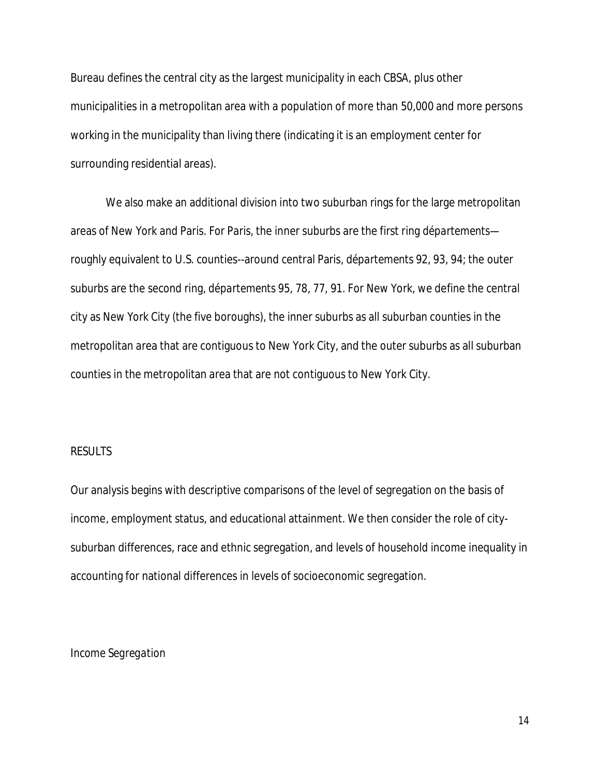Bureau defines the central city as the largest municipality in each CBSA, plus other municipalities in a metropolitan area with a population of more than 50,000 and more persons working in the municipality than living there (indicating it is an employment center for surrounding residential areas).

We also make an additional division into two suburban rings for the large metropolitan areas of New York and Paris. For Paris, the inner suburbs are the first ring *départements* roughly equivalent to U.S. counties--around central Paris, *départements* 92, 93, 94; the outer suburbs are the second ring, *départements* 95, 78, 77, 91. For New York, we define the central city as New York City (the five boroughs), the inner suburbs as all suburban counties in the metropolitan area that are contiguous to New York City, and the outer suburbs as all suburban counties in the metropolitan area that are not contiguous to New York City.

#### RESULTS

Our analysis begins with descriptive comparisons of the level of segregation on the basis of income, employment status, and educational attainment. We then consider the role of citysuburban differences, race and ethnic segregation, and levels of household income inequality in accounting for national differences in levels of socioeconomic segregation.

#### *Income Segregation*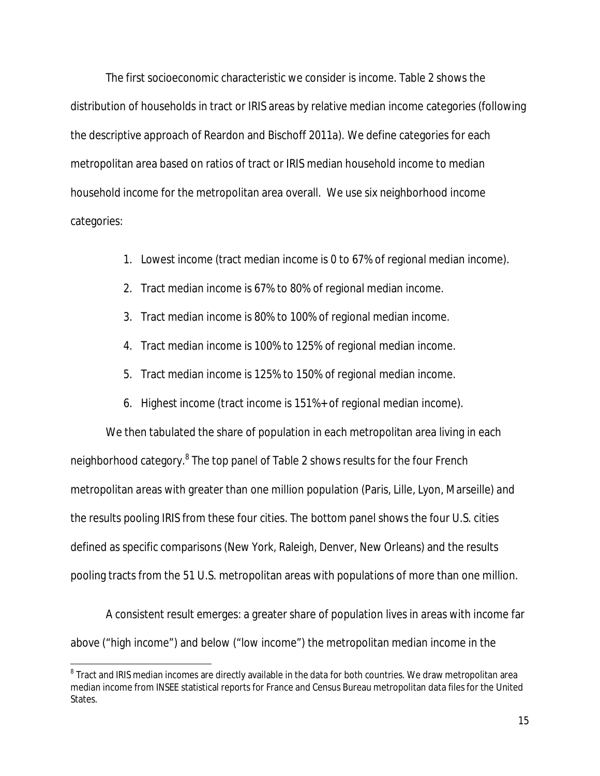The first socioeconomic characteristic we consider is income. Table 2 shows the distribution of households in tract or IRIS areas by relative median income categories (following the descriptive approach of Reardon and Bischoff 2011a). We define categories for each metropolitan area based on ratios of tract or IRIS median household income to median household income for the metropolitan area overall. We use six neighborhood income categories:

- 1. Lowest income (tract median income is 0 to 67% of regional median income).
- 2. Tract median income is 67% to 80% of regional median income.
- 3. Tract median income is 80% to 100% of regional median income.
- 4. Tract median income is 100% to 125% of regional median income.
- 5. Tract median income is 125% to 150% of regional median income.
- 6. Highest income (tract income is 151%+ of regional median income).

We then tabulated the share of population in each metropolitan area living in each neighborhood category.<sup>8</sup> The top panel of Table 2 shows results for the four French metropolitan areas with greater than one million population (Paris, Lille, Lyon, Marseille) and the results pooling IRIS from these four cities. The bottom panel shows the four U.S. cities defined as specific comparisons (New York, Raleigh, Denver, New Orleans) and the results pooling tracts from the 51 U.S. metropolitan areas with populations of more than one million.

A consistent result emerges: a greater share of population lives in areas with income far above ("high income") and below ("low income") the metropolitan median income in the

 $\overline{a}$ 

 $^{\rm 8}$  Tract and IRIS median incomes are directly available in the data for both countries. We draw metropolitan area median income from INSEE statistical reports for France and Census Bureau metropolitan data files for the United States.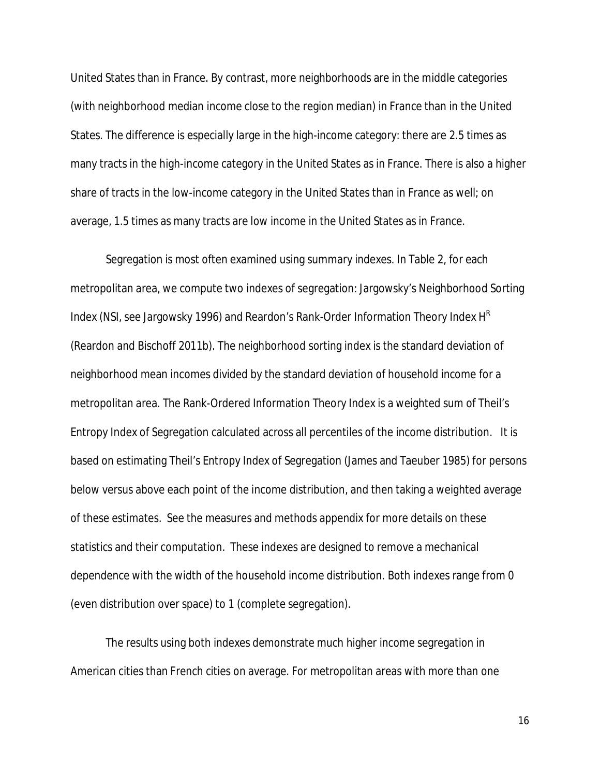United States than in France. By contrast, more neighborhoods are in the middle categories (with neighborhood median income close to the region median) in France than in the United States. The difference is especially large in the high-income category: there are 2.5 times as many tracts in the high-income category in the United States as in France. There is also a higher share of tracts in the low-income category in the United States than in France as well; on average, 1.5 times as many tracts are low income in the United States as in France.

Segregation is most often examined using summary indexes. In Table 2, for each metropolitan area, we compute two indexes of segregation: Jargowsky's Neighborhood Sorting Index (NSI, see Jargowsky 1996) and Reardon's Rank-Order Information Theory Index H<sup>R</sup> (Reardon and Bischoff 2011b). The neighborhood sorting index is the standard deviation of neighborhood mean incomes divided by the standard deviation of household income for a metropolitan area. The Rank-Ordered Information Theory Index is a weighted sum of Theil's Entropy Index of Segregation calculated across all percentiles of the income distribution. It is based on estimating Theil's Entropy Index of Segregation (James and Taeuber 1985) for persons below versus above each point of the income distribution, and then taking a weighted average of these estimates. See the measures and methods appendix for more details on these statistics and their computation. These indexes are designed to remove a mechanical dependence with the width of the household income distribution. Both indexes range from 0 (even distribution over space) to 1 (complete segregation).

The results using both indexes demonstrate much higher income segregation in American cities than French cities on average. For metropolitan areas with more than one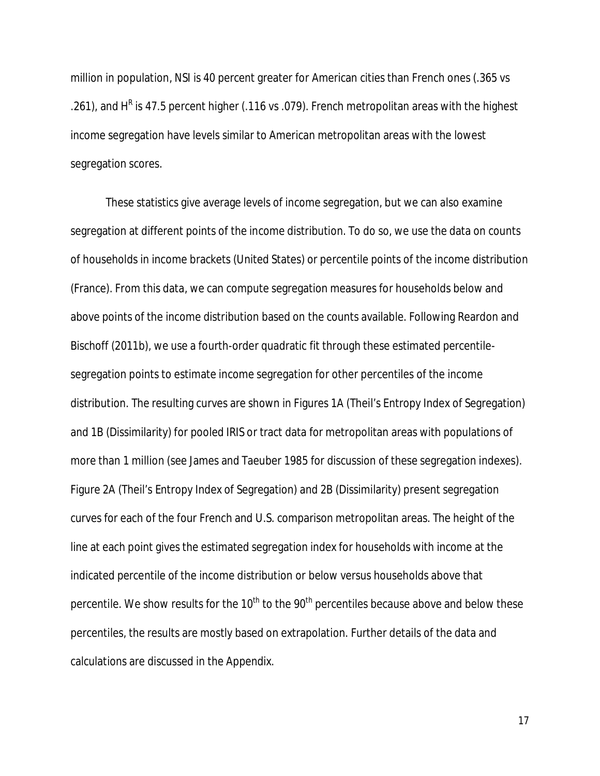million in population, NSI is 40 percent greater for American cities than French ones (.365 vs .261), and H<sup>R</sup> is 47.5 percent higher (.116 vs .079). French metropolitan areas with the highest income segregation have levels similar to American metropolitan areas with the lowest segregation scores.

These statistics give average levels of income segregation, but we can also examine segregation at different points of the income distribution. To do so, we use the data on counts of households in income brackets (United States) or percentile points of the income distribution (France). From this data, we can compute segregation measures for households below and above points of the income distribution based on the counts available. Following Reardon and Bischoff (2011b), we use a fourth-order quadratic fit through these estimated percentilesegregation points to estimate income segregation for other percentiles of the income distribution. The resulting curves are shown in Figures 1A (Theil's Entropy Index of Segregation) and 1B (Dissimilarity) for pooled IRIS or tract data for metropolitan areas with populations of more than 1 million (see James and Taeuber 1985 for discussion of these segregation indexes). Figure 2A (Theil's Entropy Index of Segregation) and 2B (Dissimilarity) present segregation curves for each of the four French and U.S. comparison metropolitan areas. The height of the line at each point gives the estimated segregation index for households with income at the indicated percentile of the income distribution or below versus households above that percentile. We show results for the  $10<sup>th</sup>$  to the  $90<sup>th</sup>$  percentiles because above and below these percentiles, the results are mostly based on extrapolation. Further details of the data and calculations are discussed in the Appendix.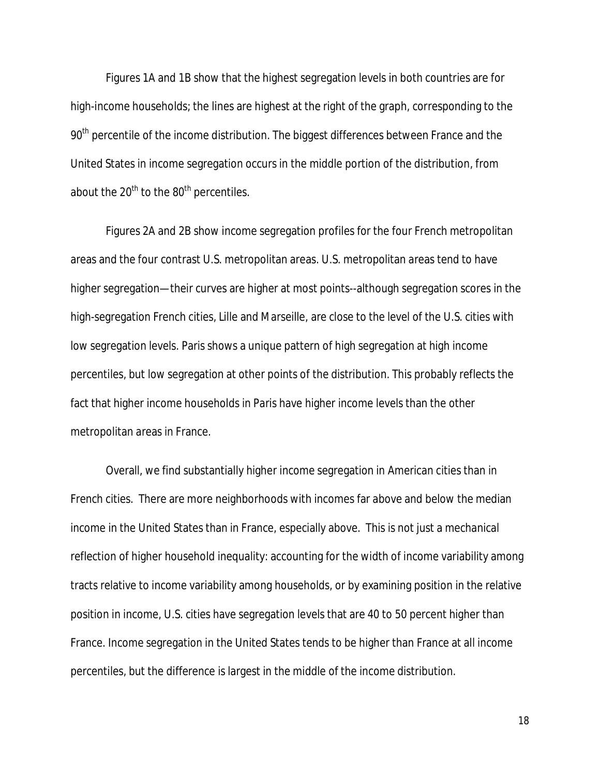Figures 1A and 1B show that the highest segregation levels in both countries are for high-income households; the lines are highest at the right of the graph, corresponding to the 90<sup>th</sup> percentile of the income distribution. The biggest differences between France and the United States in income segregation occurs in the middle portion of the distribution, from about the  $20<sup>th</sup>$  to the  $80<sup>th</sup>$  percentiles.

Figures 2A and 2B show income segregation profiles for the four French metropolitan areas and the four contrast U.S. metropolitan areas. U.S. metropolitan areas tend to have higher segregation—their curves are higher at most points--although segregation scores in the high-segregation French cities, Lille and Marseille, are close to the level of the U.S. cities with low segregation levels. Paris shows a unique pattern of high segregation at high income percentiles, but low segregation at other points of the distribution. This probably reflects the fact that higher income households in Paris have higher income levels than the other metropolitan areas in France.

Overall, we find substantially higher income segregation in American cities than in French cities. There are more neighborhoods with incomes far above and below the median income in the United States than in France, especially above. This is not just a mechanical reflection of higher household inequality: accounting for the width of income variability among tracts relative to income variability among households, or by examining position in the relative position in income, U.S. cities have segregation levels that are 40 to 50 percent higher than France. Income segregation in the United States tends to be higher than France at all income percentiles, but the difference is largest in the middle of the income distribution.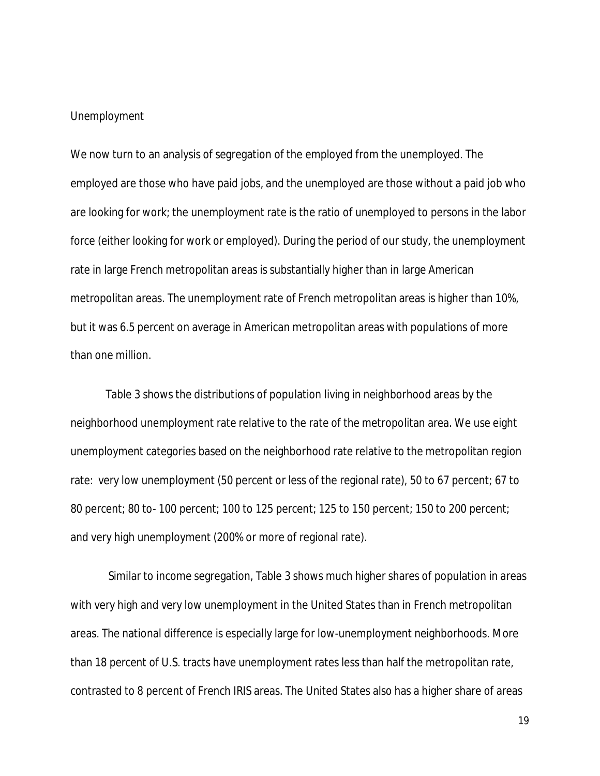#### *Unemployment*

We now turn to an analysis of segregation of the employed from the unemployed. The employed are those who have paid jobs, and the unemployed are those without a paid job who are looking for work; the unemployment rate is the ratio of unemployed to persons in the labor force (either looking for work or employed). During the period of our study, the unemployment rate in large French metropolitan areas is substantially higher than in large American metropolitan areas. The unemployment rate of French metropolitan areas is higher than 10%, but it was 6.5 percent on average in American metropolitan areas with populations of more than one million.

Table 3 shows the distributions of population living in neighborhood areas by the neighborhood unemployment rate relative to the rate of the metropolitan area. We use eight unemployment categories based on the neighborhood rate relative to the metropolitan region rate: very low unemployment (50 percent or less of the regional rate), 50 to 67 percent; 67 to 80 percent; 80 to- 100 percent; 100 to 125 percent; 125 to 150 percent; 150 to 200 percent; and very high unemployment (200% or more of regional rate).

Similar to income segregation, Table 3 shows much higher shares of population in areas with very high and very low unemployment in the United States than in French metropolitan areas. The national difference is especially large for low-unemployment neighborhoods. More than 18 percent of U.S. tracts have unemployment rates less than half the metropolitan rate, contrasted to 8 percent of French IRIS areas. The United States also has a higher share of areas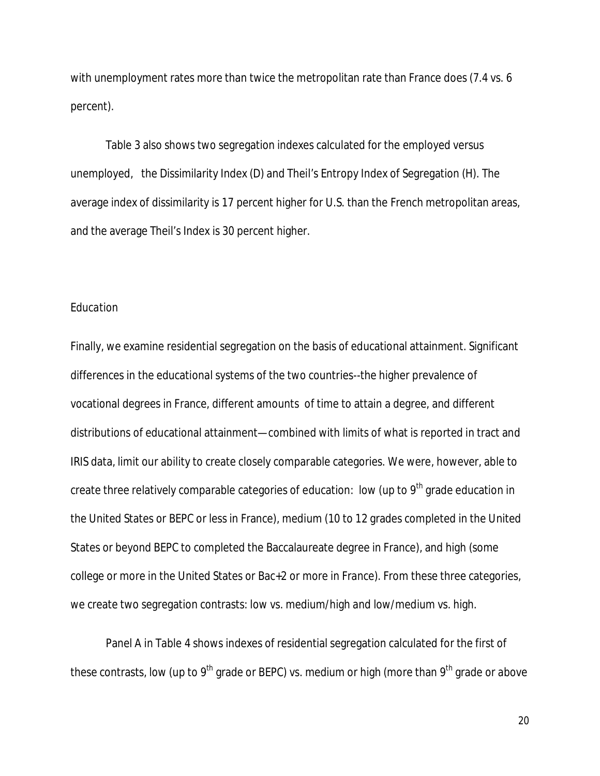with unemployment rates more than twice the metropolitan rate than France does (7.4 vs. 6 percent).

Table 3 also shows two segregation indexes calculated for the employed versus unemployed, the Dissimilarity Index (D) and Theil's Entropy Index of Segregation (H). The average index of dissimilarity is 17 percent higher for U.S. than the French metropolitan areas, and the average Theil's Index is 30 percent higher.

#### *Education*

Finally, we examine residential segregation on the basis of educational attainment. Significant differences in the educational systems of the two countries--the higher prevalence of vocational degrees in France, different amounts of time to attain a degree, and different distributions of educational attainment—combined with limits of what is reported in tract and IRIS data, limit our ability to create closely comparable categories. We were, however, able to create three relatively comparable categories of education: low (up to 9<sup>th</sup> grade education in the United States or BEPC or less in France), medium (10 to 12 grades completed in the United States or beyond BEPC to completed the Baccalaureate degree in France), and high (some college or more in the United States or Bac+2 or more in France). From these three categories, we create two segregation contrasts: low vs. medium/high and low/medium vs. high.

Panel A in Table 4 shows indexes of residential segregation calculated for the first of these contrasts, low (up to 9<sup>th</sup> grade or BEPC) vs. medium or high (more than 9<sup>th</sup> grade or above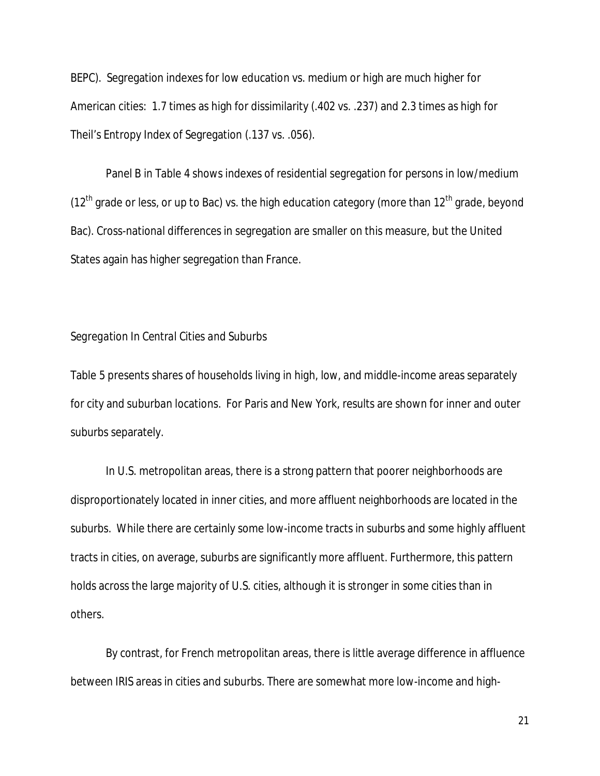BEPC). Segregation indexes for low education vs. medium or high are much higher for American cities: 1.7 times as high for dissimilarity (.402 vs. .237) and 2.3 times as high for Theil's Entropy Index of Segregation (.137 vs. .056).

Panel B in Table 4 shows indexes of residential segregation for persons in low/medium ( $12<sup>th</sup>$  grade or less, or up to Bac) vs. the high education category (more than  $12<sup>th</sup>$  grade, beyond Bac). Cross-national differences in segregation are smaller on this measure, but the United States again has higher segregation than France.

#### *Segregation In Central Cities and Suburbs*

Table 5 presents shares of households living in high, low, and middle-income areas separately for city and suburban locations. For Paris and New York, results are shown for inner and outer suburbs separately.

In U.S. metropolitan areas, there is a strong pattern that poorer neighborhoods are disproportionately located in inner cities, and more affluent neighborhoods are located in the suburbs. While there are certainly some low-income tracts in suburbs and some highly affluent tracts in cities, on average, suburbs are significantly more affluent. Furthermore, this pattern holds across the large majority of U.S. cities, although it is stronger in some cities than in others.

By contrast, for French metropolitan areas, there is little average difference in affluence between IRIS areas in cities and suburbs. There are somewhat more low-income and high-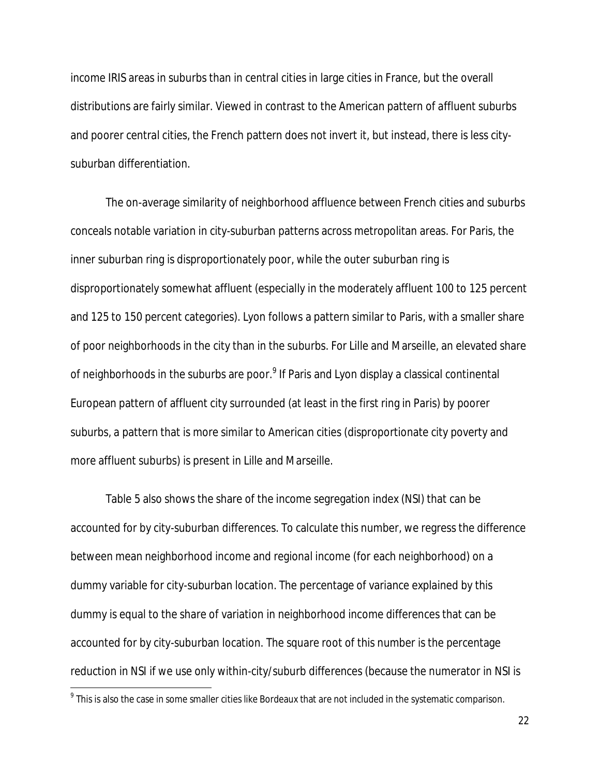income IRIS areas in suburbs than in central cities in large cities in France, but the overall distributions are fairly similar. Viewed in contrast to the American pattern of affluent suburbs and poorer central cities, the French pattern does not invert it, but instead, there is less citysuburban differentiation.

The on-average similarity of neighborhood affluence between French cities and suburbs conceals notable variation in city-suburban patterns across metropolitan areas. For Paris, the inner suburban ring is disproportionately poor, while the outer suburban ring is disproportionately somewhat affluent (especially in the moderately affluent 100 to 125 percent and 125 to 150 percent categories). Lyon follows a pattern similar to Paris, with a smaller share of poor neighborhoods in the city than in the suburbs. For Lille and Marseille, an elevated share of neighborhoods in the suburbs are poor. $^9$  If Paris and Lyon display a classical continental European pattern of affluent city surrounded (at least in the first ring in Paris) by poorer suburbs, a pattern that is more similar to American cities (disproportionate city poverty and more affluent suburbs) is present in Lille and Marseille.

Table 5 also shows the share of the income segregation index (NSI) that can be accounted for by city-suburban differences. To calculate this number, we regress the difference between mean neighborhood income and regional income (for each neighborhood) on a dummy variable for city-suburban location. The percentage of variance explained by this dummy is equal to the share of variation in neighborhood income differences that can be accounted for by city-suburban location. The square root of this number is the percentage reduction in NSI if we use only within-city/suburb differences (because the numerator in NSI is

 $\overline{a}$ 

 $^9$  This is also the case in some smaller cities like Bordeaux that are not included in the systematic comparison.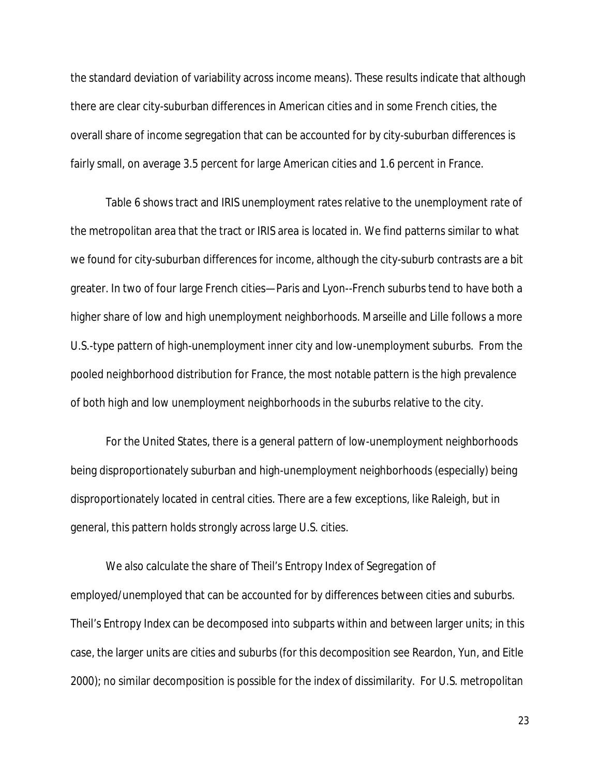the standard deviation of variability across income means). These results indicate that although there are clear city-suburban differences in American cities and in some French cities, the overall share of income segregation that can be accounted for by city-suburban differences is fairly small, on average 3.5 percent for large American cities and 1.6 percent in France.

Table 6 shows tract and IRIS unemployment rates relative to the unemployment rate of the metropolitan area that the tract or IRIS area is located in. We find patterns similar to what we found for city-suburban differences for income, although the city-suburb contrasts are a bit greater. In two of four large French cities—Paris and Lyon--French suburbs tend to have both a higher share of low and high unemployment neighborhoods. Marseille and Lille follows a more U.S.-type pattern of high-unemployment inner city and low-unemployment suburbs. From the pooled neighborhood distribution for France, the most notable pattern is the high prevalence of both high and low unemployment neighborhoods in the suburbs relative to the city.

For the United States, there is a general pattern of low-unemployment neighborhoods being disproportionately suburban and high-unemployment neighborhoods (especially) being disproportionately located in central cities. There are a few exceptions, like Raleigh, but in general, this pattern holds strongly across large U.S. cities.

We also calculate the share of Theil's Entropy Index of Segregation of employed/unemployed that can be accounted for by differences between cities and suburbs. Theil's Entropy Index can be decomposed into subparts within and between larger units; in this case, the larger units are cities and suburbs (for this decomposition see Reardon, Yun, and Eitle 2000); no similar decomposition is possible for the index of dissimilarity. For U.S. metropolitan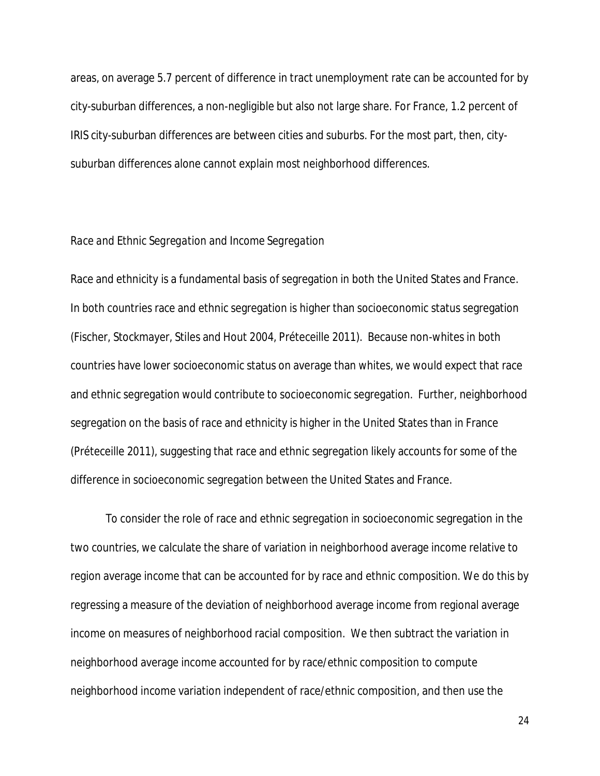areas, on average 5.7 percent of difference in tract unemployment rate can be accounted for by city-suburban differences, a non-negligible but also not large share. For France, 1.2 percent of IRIS city-suburban differences are between cities and suburbs. For the most part, then, citysuburban differences alone cannot explain most neighborhood differences.

#### *Race and Ethnic Segregation and Income Segregation*

Race and ethnicity is a fundamental basis of segregation in both the United States and France. In both countries race and ethnic segregation is higher than socioeconomic status segregation (Fischer, Stockmayer, Stiles and Hout 2004, Préteceille 2011). Because non-whites in both countries have lower socioeconomic status on average than whites, we would expect that race and ethnic segregation would contribute to socioeconomic segregation. Further, neighborhood segregation on the basis of race and ethnicity is higher in the United States than in France (Préteceille 2011), suggesting that race and ethnic segregation likely accounts for some of the difference in socioeconomic segregation between the United States and France.

To consider the role of race and ethnic segregation in socioeconomic segregation in the two countries, we calculate the share of variation in neighborhood average income relative to region average income that can be accounted for by race and ethnic composition. We do this by regressing a measure of the deviation of neighborhood average income from regional average income on measures of neighborhood racial composition. We then subtract the variation in neighborhood average income accounted for by race/ethnic composition to compute neighborhood income variation independent of race/ethnic composition, and then use the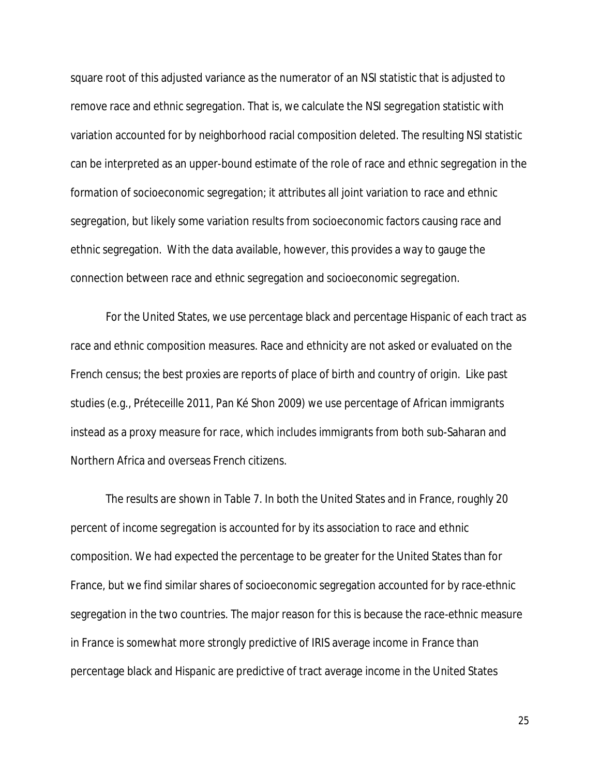square root of this adjusted variance as the numerator of an NSI statistic that is adjusted to remove race and ethnic segregation. That is, we calculate the NSI segregation statistic with variation accounted for by neighborhood racial composition deleted. The resulting NSI statistic can be interpreted as an upper-bound estimate of the role of race and ethnic segregation in the formation of socioeconomic segregation; it attributes all joint variation to race and ethnic segregation, but likely some variation results from socioeconomic factors causing race and ethnic segregation. With the data available, however, this provides a way to gauge the connection between race and ethnic segregation and socioeconomic segregation.

For the United States, we use percentage black and percentage Hispanic of each tract as race and ethnic composition measures. Race and ethnicity are not asked or evaluated on the French census; the best proxies are reports of place of birth and country of origin. Like past studies (e.g., Préteceille 2011, Pan Ké Shon 2009) we use percentage of African immigrants instead as a proxy measure for race, which includes immigrants from both sub-Saharan and Northern Africa and overseas French citizens.

The results are shown in Table 7. In both the United States and in France, roughly 20 percent of income segregation is accounted for by its association to race and ethnic composition. We had expected the percentage to be greater for the United States than for France, but we find similar shares of socioeconomic segregation accounted for by race-ethnic segregation in the two countries. The major reason for this is because the race-ethnic measure in France is somewhat more strongly predictive of IRIS average income in France than percentage black and Hispanic are predictive of tract average income in the United States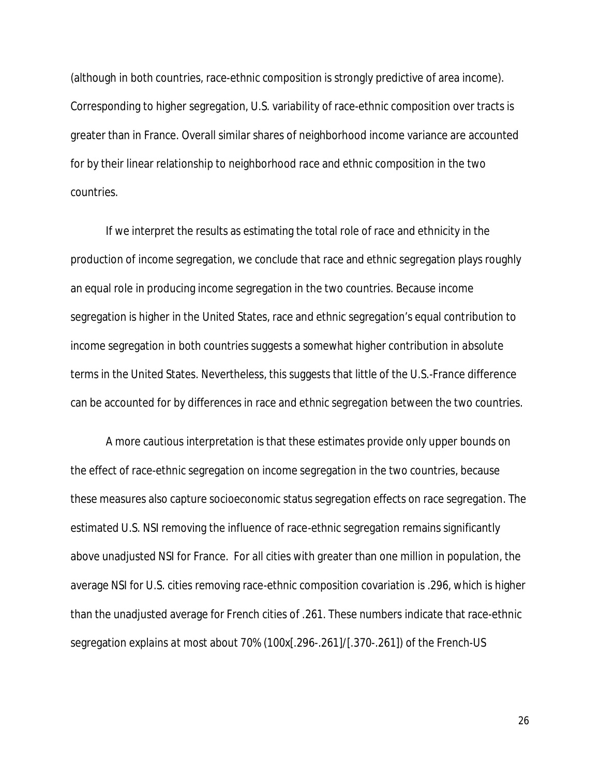(although in both countries, race-ethnic composition is strongly predictive of area income). Corresponding to higher segregation, U.S. variability of race-ethnic composition over tracts is greater than in France. Overall similar shares of neighborhood income variance are accounted for by their linear relationship to neighborhood race and ethnic composition in the two countries.

If we interpret the results as estimating the total role of race and ethnicity in the production of income segregation, we conclude that race and ethnic segregation plays roughly an equal role in producing income segregation in the two countries. Because income segregation is higher in the United States, race and ethnic segregation's equal contribution to income segregation in both countries suggests a somewhat higher contribution in absolute terms in the United States. Nevertheless, this suggests that little of the U.S.-France difference can be accounted for by differences in race and ethnic segregation between the two countries.

A more cautious interpretation is that these estimates provide only upper bounds on the effect of race-ethnic segregation on income segregation in the two countries, because these measures also capture socioeconomic status segregation effects on race segregation. The estimated U.S. NSI removing the influence of race-ethnic segregation remains significantly above unadjusted NSI for France. For all cities with greater than one million in population, the average NSI for U.S. cities removing race-ethnic composition covariation is .296, which is higher than the unadjusted average for French cities of .261. These numbers indicate that race-ethnic segregation explains *at most* about 70% (100x[.296-.261]/[.370-.261]) of the French-US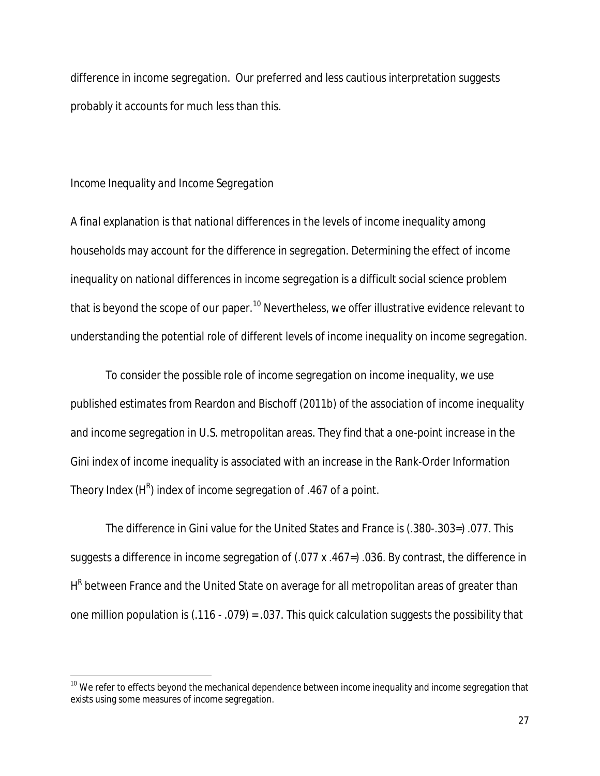difference in income segregation. Our preferred and less cautious interpretation suggests probably it accounts for much less than this.

#### *Income Inequality and Income Segregation*

 $\overline{\phantom{a}}$ 

A final explanation is that national differences in the levels of income inequality among households may account for the difference in segregation. Determining the effect of income inequality on national differences in income segregation is a difficult social science problem that is beyond the scope of our paper.<sup>10</sup> Nevertheless, we offer illustrative evidence relevant to understanding the potential role of different levels of income inequality on income segregation.

To consider the possible role of income segregation on income inequality, we use published estimates from Reardon and Bischoff (2011b) of the association of income inequality and income segregation in U.S. metropolitan areas. They find that a one-point increase in the Gini index of income inequality is associated with an increase in the Rank-Order Information Theory Index (H $^{\text{R}}$ ) index of income segregation of .467 of a point.

The difference in Gini value for the United States and France is (.380-.303=) .077. This suggests a difference in income segregation of (.077 x .467=) .036. By contrast, the difference in H<sup>R</sup> between France and the United State on average for all metropolitan areas of greater than one million population is (.116 - .079) = .037. This quick calculation suggests the possibility that

 $^{10}$  We refer to effects beyond the mechanical dependence between income inequality and income segregation that exists using some measures of income segregation.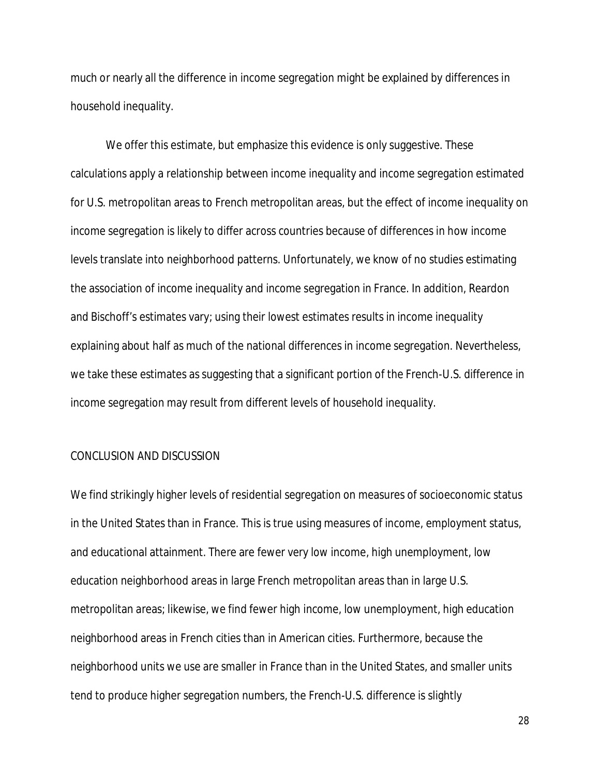much or nearly all the difference in income segregation might be explained by differences in household inequality.

We offer this estimate, but emphasize this evidence is only suggestive. These calculations apply a relationship between income inequality and income segregation estimated for U.S. metropolitan areas to French metropolitan areas, but the effect of income inequality on income segregation is likely to differ across countries because of differences in how income levels translate into neighborhood patterns. Unfortunately, we know of no studies estimating the association of income inequality and income segregation in France. In addition, Reardon and Bischoff's estimates vary; using their lowest estimates results in income inequality explaining about half as much of the national differences in income segregation. Nevertheless, we take these estimates as suggesting that a significant portion of the French-U.S. difference in income segregation may result from different levels of household inequality.

#### CONCLUSION AND DISCUSSION

We find strikingly higher levels of residential segregation on measures of socioeconomic status in the United States than in France. This is true using measures of income, employment status, and educational attainment. There are fewer very low income, high unemployment, low education neighborhood areas in large French metropolitan areas than in large U.S. metropolitan areas; likewise, we find fewer high income, low unemployment, high education neighborhood areas in French cities than in American cities. Furthermore, because the neighborhood units we use are smaller in France than in the United States, and smaller units tend to produce higher segregation numbers, the French-U.S. difference is slightly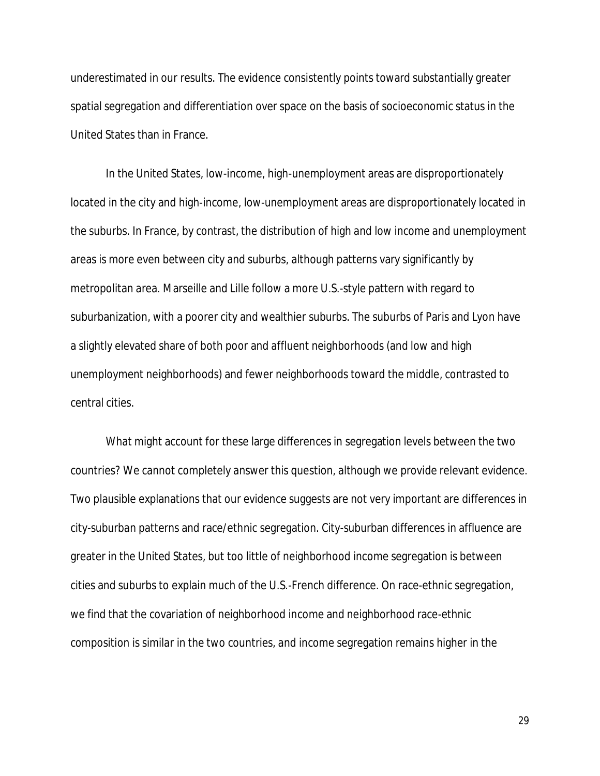underestimated in our results. The evidence consistently points toward substantially greater spatial segregation and differentiation over space on the basis of socioeconomic status in the United States than in France.

In the United States, low-income, high-unemployment areas are disproportionately located in the city and high-income, low-unemployment areas are disproportionately located in the suburbs. In France, by contrast, the distribution of high and low income and unemployment areas is more even between city and suburbs, although patterns vary significantly by metropolitan area. Marseille and Lille follow a more U.S.-style pattern with regard to suburbanization, with a poorer city and wealthier suburbs. The suburbs of Paris and Lyon have a slightly elevated share of both poor and affluent neighborhoods (and low and high unemployment neighborhoods) and fewer neighborhoods toward the middle, contrasted to central cities.

What might account for these large differences in segregation levels between the two countries? We cannot completely answer this question, although we provide relevant evidence. Two plausible explanations that our evidence suggests are not very important are differences in city-suburban patterns and race/ethnic segregation. City-suburban differences in affluence are greater in the United States, but too little of neighborhood income segregation is between cities and suburbs to explain much of the U.S.-French difference. On race-ethnic segregation, we find that the covariation of neighborhood income and neighborhood race-ethnic composition is similar in the two countries, and income segregation remains higher in the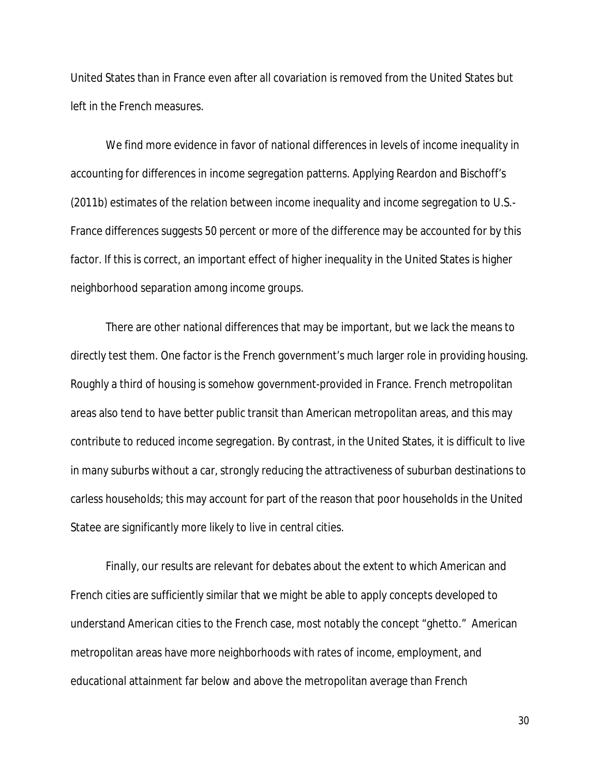United States than in France even after all covariation is removed from the United States but left in the French measures.

We find more evidence in favor of national differences in levels of income inequality in accounting for differences in income segregation patterns. Applying Reardon and Bischoff's (2011b) estimates of the relation between income inequality and income segregation to U.S.- France differences suggests 50 percent or more of the difference may be accounted for by this factor. If this is correct, an important effect of higher inequality in the United States is higher neighborhood separation among income groups.

There are other national differences that may be important, but we lack the means to directly test them. One factor is the French government's much larger role in providing housing. Roughly a third of housing is somehow government-provided in France. French metropolitan areas also tend to have better public transit than American metropolitan areas, and this may contribute to reduced income segregation. By contrast, in the United States, it is difficult to live in many suburbs without a car, strongly reducing the attractiveness of suburban destinations to carless households; this may account for part of the reason that poor households in the United Statee are significantly more likely to live in central cities.

Finally, our results are relevant for debates about the extent to which American and French cities are sufficiently similar that we might be able to apply concepts developed to understand American cities to the French case, most notably the concept "ghetto." American metropolitan areas have more neighborhoods with rates of income, employment, and educational attainment far below and above the metropolitan average than French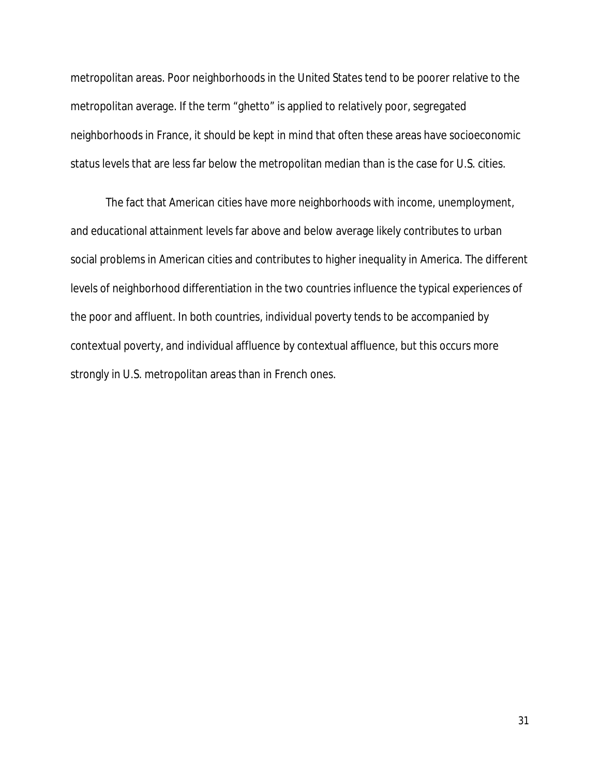metropolitan areas. Poor neighborhoods in the United States tend to be poorer relative to the metropolitan average. If the term "ghetto" is applied to relatively poor, segregated neighborhoods in France, it should be kept in mind that often these areas have socioeconomic status levels that are less far below the metropolitan median than is the case for U.S. cities.

The fact that American cities have more neighborhoods with income, unemployment, and educational attainment levels far above and below average likely contributes to urban social problems in American cities and contributes to higher inequality in America. The different levels of neighborhood differentiation in the two countries influence the typical experiences of the poor and affluent. In both countries, individual poverty tends to be accompanied by contextual poverty, and individual affluence by contextual affluence, but this occurs more strongly in U.S. metropolitan areas than in French ones.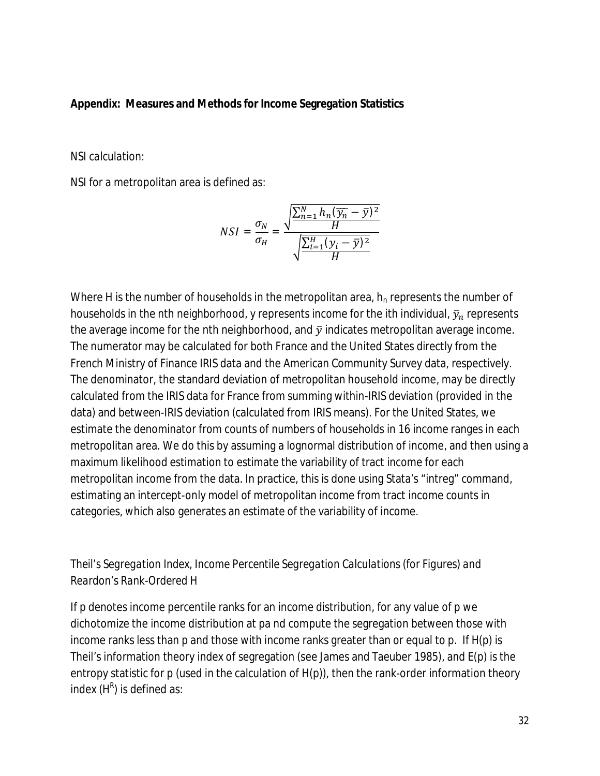#### **Appendix: Measures and Methods for Income Segregation Statistics**

#### *NSI calculation:*

NSI for a metropolitan area is defined as:

$$
NSI = \frac{\sigma_N}{\sigma_H} = \frac{\sqrt{\frac{\sum_{n=1}^{N} h_n (\overline{y_n} - \overline{y})^2}{H}}}{\sqrt{\frac{\sum_{i=1}^{H} (y_i - \overline{y})^2}{H}}}
$$

Where H is the number of households in the metropolitan area,  $h_n$  represents the number of households in the nth neighborhood, y represents income for the ith individual,  $\bar{y}_n$  represents the average income for the nth neighborhood, and  $\bar{y}$  indicates metropolitan average income. The numerator may be calculated for both France and the United States directly from the French Ministry of Finance IRIS data and the American Community Survey data, respectively. The denominator, the standard deviation of metropolitan household income, may be directly calculated from the IRIS data for France from summing within-IRIS deviation (provided in the data) and between-IRIS deviation (calculated from IRIS means). For the United States, we estimate the denominator from counts of numbers of households in 16 income ranges in each metropolitan area. We do this by assuming a lognormal distribution of income, and then using a maximum likelihood estimation to estimate the variability of tract income for each metropolitan income from the data. In practice, this is done using Stata's "intreg" command, estimating an intercept-only model of metropolitan income from tract income counts in categories, which also generates an estimate of the variability of income.

## *Theil's Segregation Index, Income Percentile Segregation Calculations (for Figures) and Reardon's Rank-Ordered H*

If p denotes income percentile ranks for an income distribution, for any value of p we dichotomize the income distribution at pa nd compute the segregation between those with income ranks less than p and those with income ranks greater than or equal to p. If H(p) is Theil's information theory index of segregation (see James and Taeuber 1985), and E(p) is the entropy statistic for p (used in the calculation of H(p)), then the rank-order information theory index  $(H^R)$  is defined as: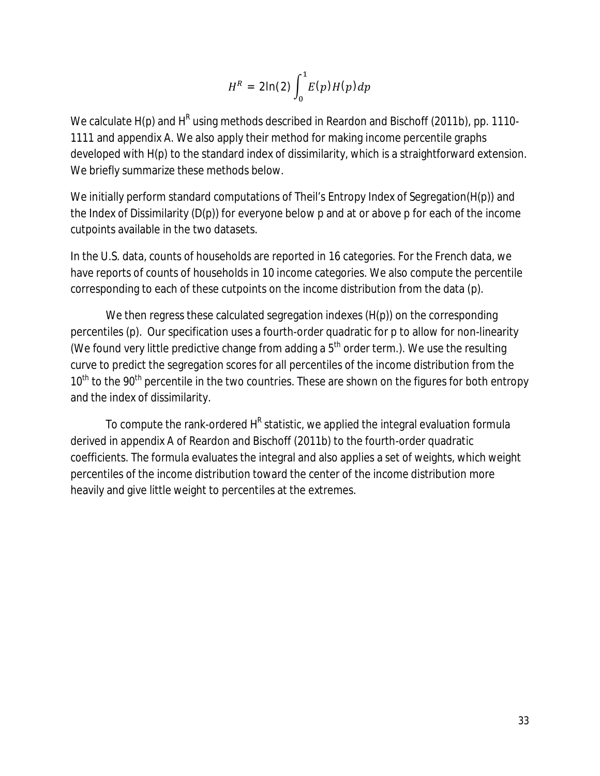$$
H^R = 2\ln(2)\int_0^1 E(p)H(p)dp
$$

We calculate H(p) and H<sup>R</sup> using methods described in Reardon and Bischoff (2011b), pp. 1110-1111 and appendix A. We also apply their method for making income percentile graphs developed with H(p) to the standard index of dissimilarity, which is a straightforward extension. We briefly summarize these methods below.

We initially perform standard computations of Theil's Entropy Index of Segregation(H(p)) and the Index of Dissimilarity (D(p)) for everyone below p and at or above p for each of the income cutpoints available in the two datasets.

In the U.S. data, counts of households are reported in 16 categories. For the French data, we have reports of counts of households in 10 income categories. We also compute the percentile corresponding to each of these cutpoints on the income distribution from the data (p).

We then regress these calculated segregation indexes (H(p)) on the corresponding percentiles (p). Our specification uses a fourth-order quadratic for p to allow for non-linearity (We found very little predictive change from adding a  $5<sup>th</sup>$  order term.). We use the resulting curve to predict the segregation scores for all percentiles of the income distribution from the 10<sup>th</sup> to the 90<sup>th</sup> percentile in the two countries. These are shown on the figures for both entropy and the index of dissimilarity.

To compute the rank-ordered H<sup>R</sup> statistic, we applied the integral evaluation formula derived in appendix A of Reardon and Bischoff (2011b) to the fourth-order quadratic coefficients. The formula evaluates the integral and also applies a set of weights, which weight percentiles of the income distribution toward the center of the income distribution more heavily and give little weight to percentiles at the extremes.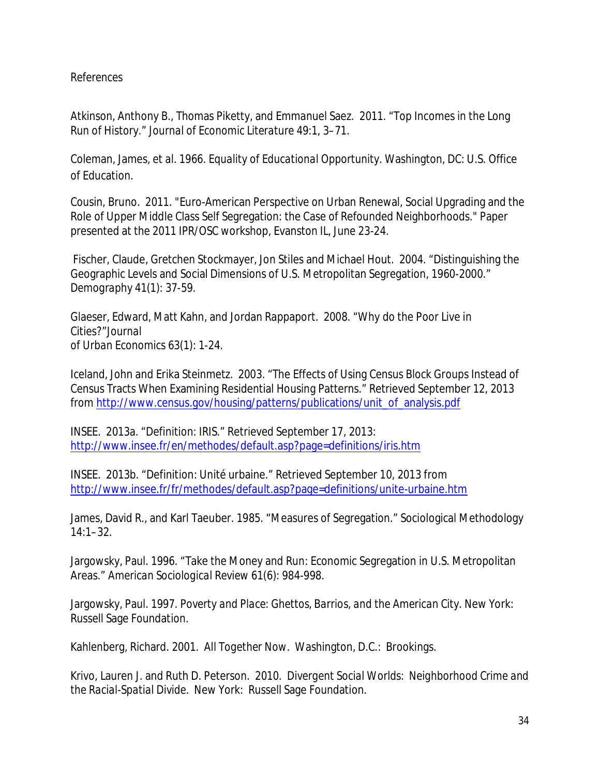### *References*

Atkinson, Anthony B., Thomas Piketty, and Emmanuel Saez. 2011. "Top Incomes in the Long Run of History." *Journal of Economic Literature* 49:1, 3–71.

Coleman, James, et al. 1966. *Equality of Educational Opportunity*. Washington, DC: U.S. Office of Education.

Cousin, Bruno. 2011. "Euro-American Perspective on Urban Renewal, Social Upgrading and the Role of Upper Middle Class Self Segregation: the Case of Refounded Neighborhoods." Paper presented at the 2011 IPR/OSC workshop, Evanston IL, June 23-24.

Fischer, Claude, Gretchen Stockmayer, Jon Stiles and Michael Hout. 2004. "Distinguishing the Geographic Levels and Social Dimensions of U.S. Metropolitan Segregation, 1960-2000." *Demography* 41(1): 37-59.

Glaeser, Edward, Matt Kahn, and Jordan Rappaport. 2008. "Why do the Poor Live in Cities?"*Journal of Urban Economics* 63(1): 1-24.

Iceland, John and Erika Steinmetz. 2003. "The Effects of Using Census Block Groups Instead of Census Tracts When Examining Residential Housing Patterns." Retrieved September 12, 2013 from http://www.census.gov/housing/patterns/publications/unit\_of\_analysis.pdf

INSEE. 2013a. "Definition: IRIS." Retrieved September 17, 2013: http://www.insee.fr/en/methodes/default.asp?page=definitions/iris.htm

INSEE. 2013b. "Definition: Unité urbaine." Retrieved September 10, 2013 from http://www.insee.fr/fr/methodes/default.asp?page=definitions/unite-urbaine.htm

James, David R., and Karl Taeuber. 1985. "Measures of Segregation." Sociological Methodology 14:1–32.

Jargowsky, Paul. 1996. "Take the Money and Run: Economic Segregation in U.S. Metropolitan Areas." *American Sociological Review* 61(6): 984-998.

Jargowsky, Paul. 1997. *Poverty and Place: Ghettos, Barrios, and the American City*. New York: Russell Sage Foundation.

Kahlenberg, Richard. 2001. *All Together Now*. Washington, D.C.: Brookings.

Krivo, Lauren J. and Ruth D. Peterson. 2010. *Divergent Social Worlds: Neighborhood Crime and the Racial-Spatial Divide*. New York: Russell Sage Foundation.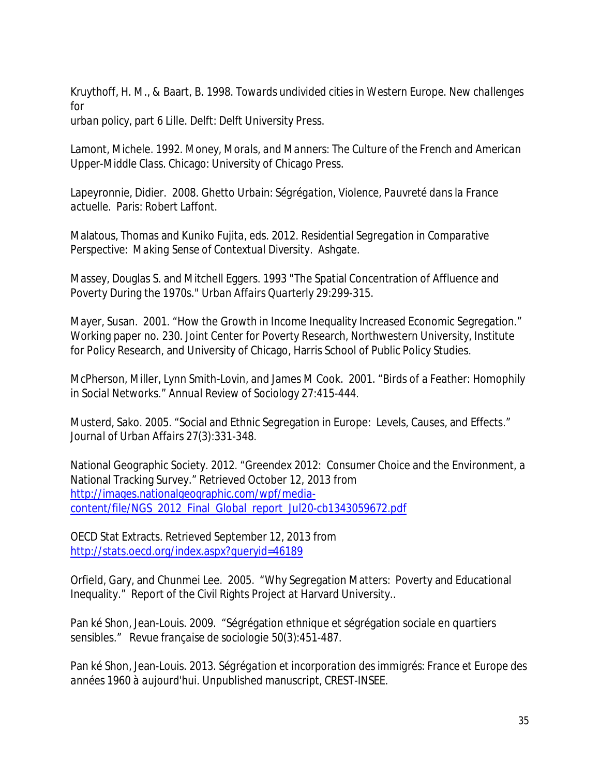Kruythoff, H. M., & Baart, B. 1998. *Towards undivided cities in Western Europe. New challenges for*

*urban policy*, part 6 Lille. Delft: Delft University Press.

Lamont, Michele. 1992. *Money, Morals, and Manners: The Culture of the French and American Upper-Middle Class*. Chicago: University of Chicago Press.

Lapeyronnie, Didier. 2008. *Ghetto Urbain: Ségrégation, Violence, Pauvreté dans la France actuelle*. Paris: Robert Laffont.

Malatous, Thomas and Kuniko Fujita, eds. 2012. *Residential Segregation in Comparative Perspective: Making Sense of Contextual Diversity*. Ashgate.

Massey, Douglas S. and Mitchell Eggers. 1993 "The Spatial Concentration of Affluence and Poverty During the 1970s." *Urban Affairs Quarterly* 29:299-315.

Mayer, Susan. 2001. "How the Growth in Income Inequality Increased Economic Segregation." Working paper no. 230. Joint Center for Poverty Research, Northwestern University, Institute for Policy Research, and University of Chicago, Harris School of Public Policy Studies.

McPherson, Miller, Lynn Smith-Lovin, and James M Cook. 2001. "Birds of a Feather: Homophily in Social Networks." *Annual Review of Sociology* 27:415-444.

Musterd, Sako. 2005. "Social and Ethnic Segregation in Europe: Levels, Causes, and Effects." *Journal of Urban Affairs* 27(3):331-348.

National Geographic Society. 2012. "Greendex 2012: Consumer Choice and the Environment, a National Tracking Survey." Retrieved October 12, 2013 from http://images.nationalgeographic.com/wpf/mediacontent/file/NGS\_2012\_Final\_Global\_report\_Jul20-cb1343059672.pdf

OECD Stat Extracts. Retrieved September 12, 2013 from http://stats.oecd.org/index.aspx?queryid=46189

Orfield, Gary, and Chunmei Lee. 2005. "Why Segregation Matters: Poverty and Educational Inequality." Report of the Civil Rights Project at Harvard University..

Pan ké Shon, Jean-Louis. 2009. "Ségrégation ethnique et ségrégation sociale en quartiers sensibles." *Revue française de sociologie* 50(3):451-487.

Pan ké Shon, Jean-Louis. 2013. *Ségrégation et incorporation des immigrés: France et Europe des années 1960 à aujourd'hui*. Unpublished manuscript, CREST-INSEE.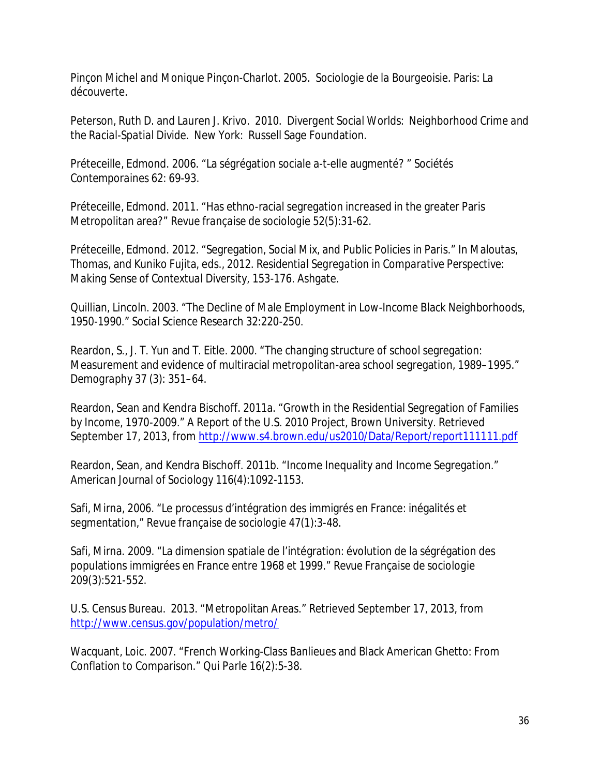Pinçon Michel and Monique Pinçon-Charlot. 2005. *Sociologie de la Bourgeoisie*. Paris: La découverte.

Peterson, Ruth D. and Lauren J. Krivo. 2010. *Divergent Social Worlds: Neighborhood Crime and the Racial-Spatial Divide*. New York: Russell Sage Foundation.

Préteceille, Edmond. 2006. "La ségrégation sociale a-t-elle augmenté? " *Sociétés Contemporaines* 62: 69-93.

Préteceille, Edmond. 2011. "Has ethno-racial segregation increased in the greater Paris Metropolitan area?" *Revue française de sociologie* 52(5):31-62.

Préteceille, Edmond. 2012. "Segregation, Social Mix, and Public Policies in Paris." In Maloutas, Thomas, and Kuniko Fujita, eds., 2012. *Residential Segregation in Comparative Perspective: Making Sense of Contextual Diversity,* 153-176. Ashgate.

Quillian, Lincoln. 2003. "The Decline of Male Employment in Low-Income Black Neighborhoods, 1950-1990." *Social Science Research* 32:220-250.

Reardon, S., J. T. Yun and T. Eitle. 2000. "The changing structure of school segregation: Measurement and evidence of multiracial metropolitan-area school segregation, 1989–1995." *Demography* 37 (3): 351–64.

Reardon, Sean and Kendra Bischoff. 2011a. "Growth in the Residential Segregation of Families by Income, 1970-2009." A Report of the U.S. 2010 Project, Brown University. Retrieved September 17, 2013, from http://www.s4.brown.edu/us2010/Data/Report/report111111.pdf

Reardon, Sean, and Kendra Bischoff. 2011b. "Income Inequality and Income Segregation." *American Journal of Sociology* 116(4):1092-1153.

Safi, Mirna, 2006. "Le processus d'intégration des immigrés en France: inégalités et segmentation," *Revue française de sociologie* 47(1):3-48.

Safi, Mirna. 2009. "La dimension spatiale de l'intégration: évolution de la ségrégation des populations immigrées en France entre 1968 et 1999." *Revue Française de sociologie* 209(3):521-552.

U.S. Census Bureau. 2013. "Metropolitan Areas." Retrieved September 17, 2013, from http://www.census.gov/population/metro/

Wacquant, Loic. 2007. "French Working-Class Banlieues and Black American Ghetto: From Conflation to Comparison." *Qui Parle* 16(2):5-38.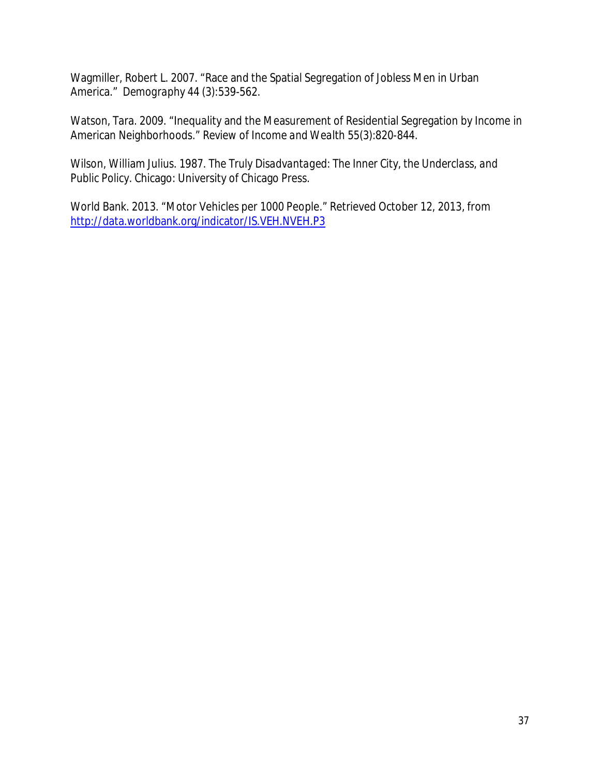Wagmiller, Robert L. 2007. "Race and the Spatial Segregation of Jobless Men in Urban America." *Demography* 44 (3):539-562.

Watson, Tara. 2009. "Inequality and the Measurement of Residential Segregation by Income in American Neighborhoods." *Review of Income and Wealth* 55(3):820-844.

Wilson, William Julius. 1987. *The Truly Disadvantaged: The Inner City, the Underclass, and Public Policy*. Chicago: University of Chicago Press.

World Bank. 2013. "Motor Vehicles per 1000 People." Retrieved October 12, 2013, from http://data.worldbank.org/indicator/IS.VEH.NVEH.P3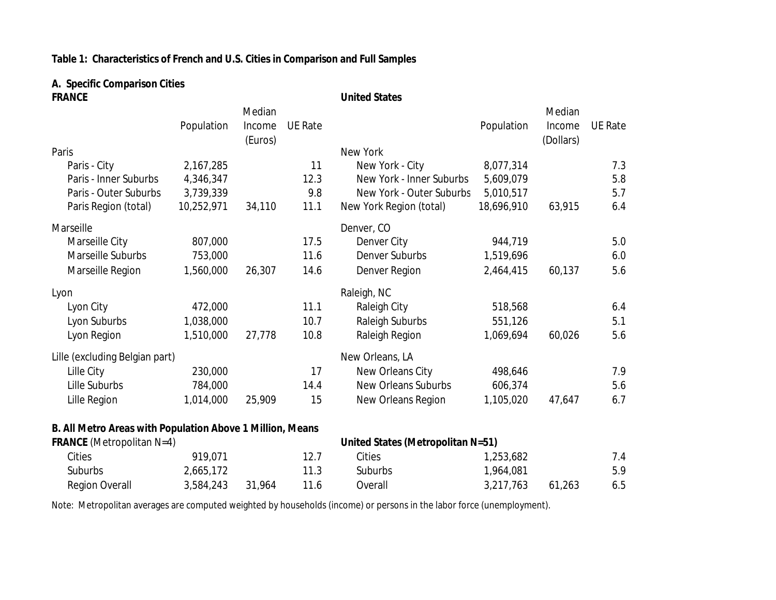## **Table 1: Characteristics of French and U.S. Cities in Comparison and Full Samples**

# **A. Specific Comparison Cities**

| <b>FRANCE</b>                                             |            |         |                | <b>United States</b>              |            |           |                |
|-----------------------------------------------------------|------------|---------|----------------|-----------------------------------|------------|-----------|----------------|
|                                                           |            | Median  |                |                                   |            | Median    |                |
|                                                           | Population | Income  | <b>UE Rate</b> |                                   | Population | Income    | <b>UE Rate</b> |
|                                                           |            | (Euros) |                |                                   |            | (Dollars) |                |
| Paris                                                     |            |         |                | New York                          |            |           |                |
| Paris - City                                              | 2,167,285  |         | 11             | New York - City                   | 8,077,314  |           | 7.3            |
| Paris - Inner Suburbs                                     | 4,346,347  |         | 12.3           | New York - Inner Suburbs          | 5,609,079  |           | 5.8            |
| Paris - Outer Suburbs                                     | 3,739,339  |         | 9.8            | New York - Outer Suburbs          | 5,010,517  |           | 5.7            |
| Paris Region (total)                                      | 10,252,971 | 34,110  | 11.1           | New York Region (total)           | 18,696,910 | 63,915    | 6.4            |
| Marseille                                                 |            |         |                | Denver, CO                        |            |           |                |
| Marseille City                                            | 807,000    |         | 17.5           | Denver City                       | 944,719    |           | 5.0            |
| Marseille Suburbs                                         | 753,000    |         | 11.6           | <b>Denver Suburbs</b>             | 1,519,696  |           | 6.0            |
| Marseille Region                                          | 1,560,000  | 26,307  | 14.6           | Denver Region                     | 2,464,415  | 60,137    | 5.6            |
| Lyon                                                      |            |         |                | Raleigh, NC                       |            |           |                |
| Lyon City                                                 | 472,000    |         | 11.1           | Raleigh City                      | 518,568    |           | 6.4            |
| Lyon Suburbs                                              | 1,038,000  |         | 10.7           | <b>Raleigh Suburbs</b>            | 551,126    |           | 5.1            |
| Lyon Region                                               | 1,510,000  | 27,778  | 10.8           | Raleigh Region                    | 1,069,694  | 60,026    | 5.6            |
| Lille (excluding Belgian part)                            |            |         |                | New Orleans, LA                   |            |           |                |
| Lille City                                                | 230,000    |         | 17             | New Orleans City                  | 498,646    |           | 7.9            |
| Lille Suburbs                                             | 784,000    |         | 14.4           | <b>New Orleans Suburbs</b>        | 606,374    |           | 5.6            |
| Lille Region                                              | 1,014,000  | 25,909  | 15             | New Orleans Region                | 1,105,020  | 47,647    | 6.7            |
| B. All Metro Areas with Population Above 1 Million, Means |            |         |                |                                   |            |           |                |
| <b>FRANCE</b> (Metropolitan N=4)                          |            |         |                | United States (Metropolitan N=51) |            |           |                |
| Cities                                                    | 919,071    |         | 12.7           | Cities                            | 1,253,682  |           | 7.4            |
| Suburbs                                                   | 2,665,172  |         | 11.3           | Suburbs                           | 1,964,081  |           | 5.9            |
| <b>Region Overall</b>                                     | 3,584,243  | 31,964  | 11.6           | Overall                           | 3,217,763  | 61,263    | 6.5            |

Note: Metropolitan averages are computed weighted by households (income) or persons in the labor force (unemployment).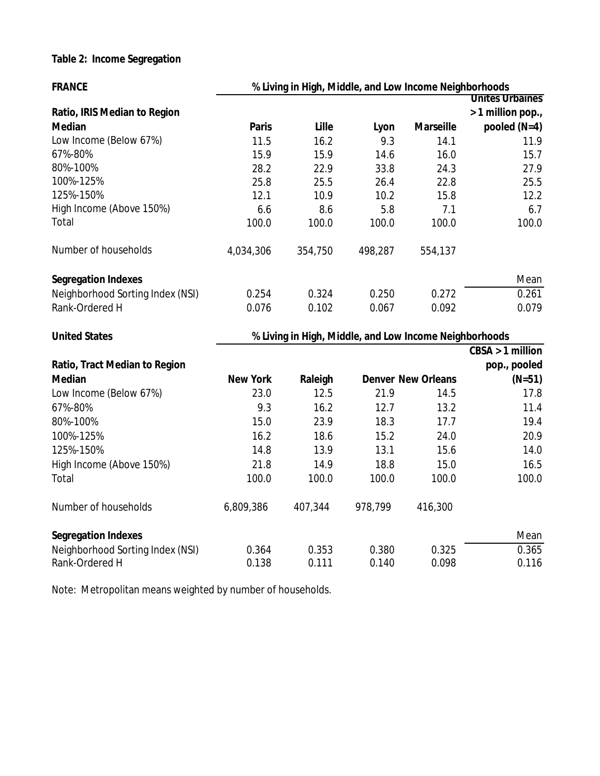## **Table 2: Income Segregation**

| <b>FRANCE</b>                    | % Living in High, Middle, and Low Income Neighborhoods |                                                        |         |                           |                        |  |  |  |
|----------------------------------|--------------------------------------------------------|--------------------------------------------------------|---------|---------------------------|------------------------|--|--|--|
|                                  |                                                        |                                                        |         |                           | <b>Unites Urbaines</b> |  |  |  |
| Ratio, IRIS Median to Region     |                                                        |                                                        |         |                           | > 1 million pop.,      |  |  |  |
| <b>Median</b>                    | <b>Paris</b>                                           | Lille                                                  | Lyon    | <b>Marseille</b>          | pooled $(N=4)$         |  |  |  |
| Low Income (Below 67%)           | 11.5                                                   | 16.2                                                   | 9.3     | 14.1                      | 11.9                   |  |  |  |
| 67%-80%                          | 15.9                                                   | 15.9                                                   | 14.6    | 16.0                      | 15.7                   |  |  |  |
| 80%-100%                         | 28.2                                                   | 22.9                                                   | 33.8    | 24.3                      | 27.9                   |  |  |  |
| 100%-125%                        | 25.8                                                   | 25.5                                                   | 26.4    | 22.8                      | 25.5                   |  |  |  |
| 125%-150%                        | 12.1                                                   | 10.9                                                   | 10.2    | 15.8                      | 12.2                   |  |  |  |
| High Income (Above 150%)         | 6.6                                                    | 8.6                                                    | 5.8     | 7.1                       | 6.7                    |  |  |  |
| Total                            | 100.0                                                  | 100.0                                                  | 100.0   | 100.0                     | 100.0                  |  |  |  |
| Number of households             | 4,034,306                                              | 354,750                                                | 498,287 | 554,137                   |                        |  |  |  |
| <b>Segregation Indexes</b>       |                                                        |                                                        |         |                           | Mean                   |  |  |  |
| Neighborhood Sorting Index (NSI) | 0.254                                                  | 0.324                                                  | 0.250   | 0.272                     | 0.261                  |  |  |  |
| Rank-Ordered H                   | 0.076                                                  | 0.102                                                  | 0.067   | 0.092                     | 0.079                  |  |  |  |
| <b>United States</b>             |                                                        | % Living in High, Middle, and Low Income Neighborhoods |         |                           |                        |  |  |  |
|                                  |                                                        |                                                        |         |                           | $CBSA > 1$ million     |  |  |  |
| Ratio, Tract Median to Region    |                                                        |                                                        |         |                           | pop., pooled           |  |  |  |
| <b>Median</b>                    | <b>New York</b>                                        | Raleigh                                                |         | <b>Denver New Orleans</b> | $(N=51)$               |  |  |  |
| Low Income (Below 67%)           | 23.0                                                   | 12.5                                                   | 21.9    | 14.5                      | 17.8                   |  |  |  |
| 67%-80%                          | 9.3                                                    | 16.2                                                   | 12.7    | 13.2                      | 11.4                   |  |  |  |
| 80%-100%                         | 15.0                                                   | 23.9                                                   | 18.3    | 17.7                      | 19.4                   |  |  |  |
| 100%-125%                        | 16.2                                                   | 18.6                                                   | 15.2    | 24.0                      | 20.9                   |  |  |  |
| 125%-150%                        | 14.8                                                   | 13.9                                                   | 13.1    | 15.6                      | 14.0                   |  |  |  |
| High Income (Above 150%)         | 21.8                                                   | 14.9                                                   | 18.8    | 15.0                      | 16.5                   |  |  |  |
| Total                            | 100.0                                                  | 100.0                                                  | 100.0   | 100.0                     | 100.0                  |  |  |  |
| Number of households             | 6,809,386                                              | 407,344                                                | 978,799 | 416,300                   |                        |  |  |  |
| <b>Segregation Indexes</b>       |                                                        |                                                        |         |                           | Mean                   |  |  |  |
| Neighborhood Sorting Index (NSI) | 0.364                                                  | 0.353                                                  | 0.380   | 0.325                     | 0.365                  |  |  |  |
| Rank-Ordered H                   |                                                        |                                                        |         |                           |                        |  |  |  |

Note: Metropolitan means weighted by number of households.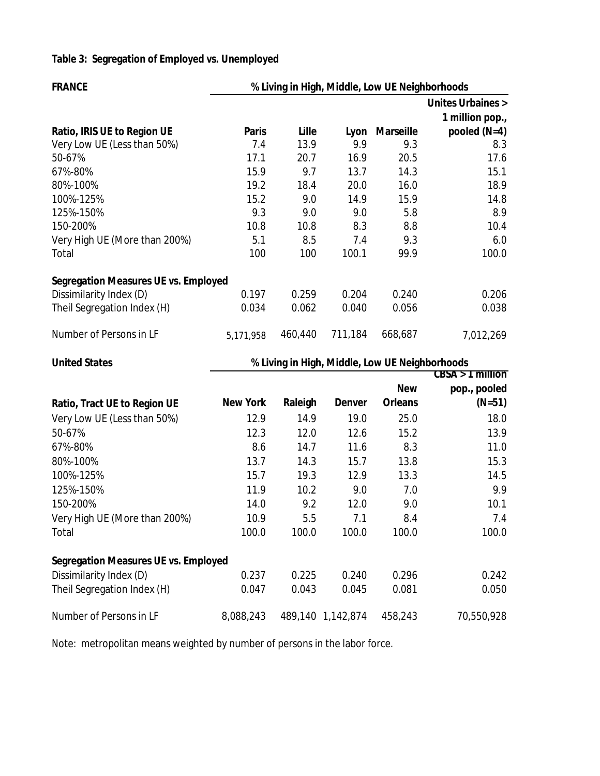# **Table 3: Segregation of Employed vs. Unemployed**

| <b>FRANCE</b>                                          | % Living in High, Middle, Low UE Neighborhoods |                |                                                |                  |                             |  |  |  |
|--------------------------------------------------------|------------------------------------------------|----------------|------------------------------------------------|------------------|-----------------------------|--|--|--|
|                                                        |                                                |                |                                                |                  | <b>Unites Urbaines &gt;</b> |  |  |  |
|                                                        |                                                |                |                                                |                  | 1 million pop.,             |  |  |  |
| Ratio, IRIS UE to Region UE                            | <b>Paris</b>                                   | Lille          | Lyon                                           | <b>Marseille</b> | pooled $(N=4)$              |  |  |  |
| Very Low UE (Less than 50%)                            | 7.4                                            | 13.9           | 9.9                                            | 9.3              | 8.3                         |  |  |  |
| 50-67%                                                 | 17.1                                           | 20.7           | 16.9                                           | 20.5             | 17.6                        |  |  |  |
| 67%-80%                                                | 15.9                                           | 9.7            | 13.7                                           | 14.3             | 15.1                        |  |  |  |
| 80%-100%                                               | 19.2                                           | 18.4           | 20.0                                           | 16.0             | 18.9                        |  |  |  |
| 100%-125%                                              | 15.2                                           | 9.0            | 14.9                                           | 15.9             | 14.8                        |  |  |  |
| 125%-150%                                              | 9.3                                            | 9.0            | 9.0                                            | 5.8              | 8.9                         |  |  |  |
| 150-200%                                               | 10.8                                           | 10.8           | 8.3                                            | 8.8              | 10.4                        |  |  |  |
| Very High UE (More than 200%)                          | 5.1                                            | 8.5            | 7.4                                            | 9.3              | 6.0                         |  |  |  |
| Total                                                  | 100                                            | 100            | 100.1                                          | 99.9             | 100.0                       |  |  |  |
| <b>Segregation Measures UE vs. Employed</b>            |                                                |                |                                                |                  |                             |  |  |  |
| Dissimilarity Index (D)                                | 0.197                                          | 0.259          | 0.204                                          | 0.240            | 0.206                       |  |  |  |
| Theil Segregation Index (H)                            | 0.034                                          | 0.062          | 0.040                                          | 0.056            | 0.038                       |  |  |  |
| Number of Persons in LF                                | 5,171,958                                      | 460,440        | 711,184                                        | 668,687          | 7,012,269                   |  |  |  |
|                                                        |                                                |                |                                                |                  |                             |  |  |  |
| <b>United States</b>                                   |                                                |                | % Living in High, Middle, Low UE Neighborhoods |                  |                             |  |  |  |
|                                                        |                                                |                |                                                |                  |                             |  |  |  |
|                                                        |                                                |                |                                                | <b>New</b>       | pop., pooled                |  |  |  |
| Ratio, Tract UE to Region UE                           | <b>New York</b>                                | Raleigh        | <b>Denver</b>                                  | <b>Orleans</b>   | $(N=51)$                    |  |  |  |
| Very Low UE (Less than 50%)                            | 12.9                                           | 14.9           | 19.0                                           | 25.0             | 18.0                        |  |  |  |
| 50-67%                                                 | 12.3                                           | 12.0           | 12.6                                           | 15.2             | 13.9                        |  |  |  |
| 67%-80%                                                | 8.6                                            | 14.7           | 11.6                                           | 8.3              | $CBSA > 1$ million<br>11.0  |  |  |  |
| 80%-100%                                               | 13.7                                           | 14.3           | 15.7                                           | 13.8             | 15.3                        |  |  |  |
| 100%-125%                                              | 15.7                                           | 19.3           | 12.9                                           | 13.3             | 14.5                        |  |  |  |
| 125%-150%                                              | 11.9                                           | 10.2           | 9.0                                            | 7.0              | 9.9                         |  |  |  |
| 150-200%                                               | 14.0                                           | 9.2            | 12.0                                           | 9.0              |                             |  |  |  |
|                                                        |                                                |                |                                                |                  | 10.1                        |  |  |  |
| Very High UE (More than 200%)<br>Total                 | 10.9<br>100.0                                  | 5.5<br>100.0   | 7.1<br>100.0                                   | 8.4<br>100.0     | 7.4<br>100.0                |  |  |  |
|                                                        |                                                |                |                                                |                  |                             |  |  |  |
| <b>Segregation Measures UE vs. Employed</b>            |                                                |                |                                                |                  |                             |  |  |  |
| Dissimilarity Index (D)<br>Theil Segregation Index (H) | 0.237<br>0.047                                 | 0.225<br>0.043 | 0.240<br>0.045                                 | 0.296<br>0.081   | 0.242<br>0.050              |  |  |  |

Note: metropolitan means weighted by number of persons in the labor force.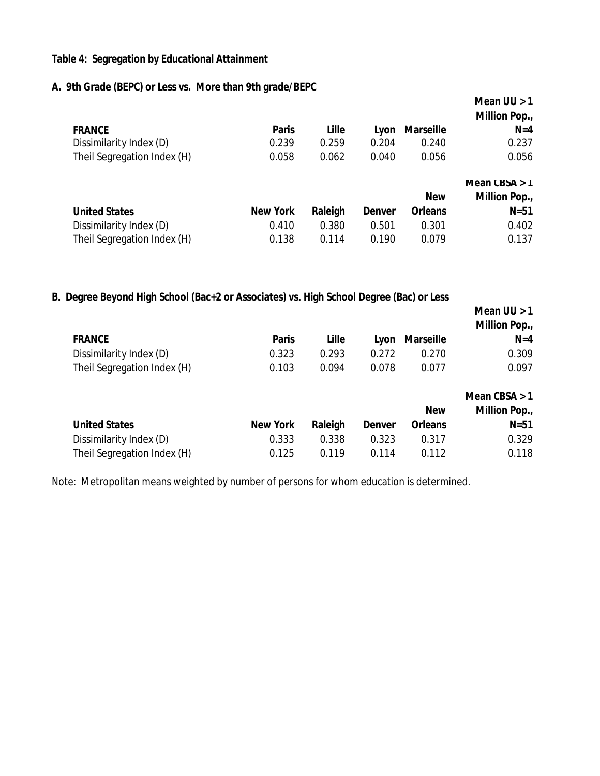#### **Table 4: Segregation by Educational Attainment**

#### **A. 9th Grade (BEPC) or Less vs. More than 9th grade/BEPC**

|                             |                 |         |               |                  | Mean $UU > 1$<br><b>Million Pop.,</b> |
|-----------------------------|-----------------|---------|---------------|------------------|---------------------------------------|
| <b>FRANCE</b>               | <b>Paris</b>    | Lille   | Lyon          | <b>Marseille</b> | $N=4$                                 |
| Dissimilarity Index (D)     | 0.239           | 0.259   | 0.204         | 0.240            | 0.237                                 |
| Theil Segregation Index (H) | 0.058           | 0.062   | 0.040         | 0.056            | 0.056                                 |
|                             |                 |         |               |                  |                                       |
|                             |                 |         |               |                  | Mean $CBSA > 1$                       |
|                             |                 |         |               | <b>New</b>       | <b>Million Pop.,</b>                  |
| <b>United States</b>        | <b>New York</b> | Raleigh | <b>Denver</b> | <b>Orleans</b>   | $N=51$                                |
| Dissimilarity Index (D)     | 0.410           | 0.380   | 0.501         | 0.301            | 0.402                                 |

### **B. Degree Beyond High School (Bac+2 or Associates) vs. High School Degree (Bac) or Less**

|                             |                 |         |               |                  | Mean $UU > 1$<br><b>Million Pop.,</b> |
|-----------------------------|-----------------|---------|---------------|------------------|---------------------------------------|
| <b>FRANCE</b>               | <b>Paris</b>    | Lille   | Lyon          | <b>Marseille</b> | $N=4$                                 |
| Dissimilarity Index (D)     | 0.323           | 0.293   | 0.272         | 0.270            | 0.309                                 |
| Theil Segregation Index (H) | 0.103           | 0.094   | 0.078         | 0.077            | 0.097                                 |
|                             |                 |         |               |                  | Mean $CBSA > 1$                       |
|                             |                 |         |               | <b>New</b>       | <b>Million Pop.,</b>                  |
| <b>United States</b>        | <b>New York</b> | Raleigh | <b>Denver</b> | <b>Orleans</b>   | $N=51$                                |
| Dissimilarity Index (D)     | 0.333           | 0.338   | 0.323         | 0.317            | 0.329                                 |

Theil Segregation Index (H)  $0.125$  0.119 0.114 0.112 0.118

Note: Metropolitan means weighted by number of persons for whom education is determined.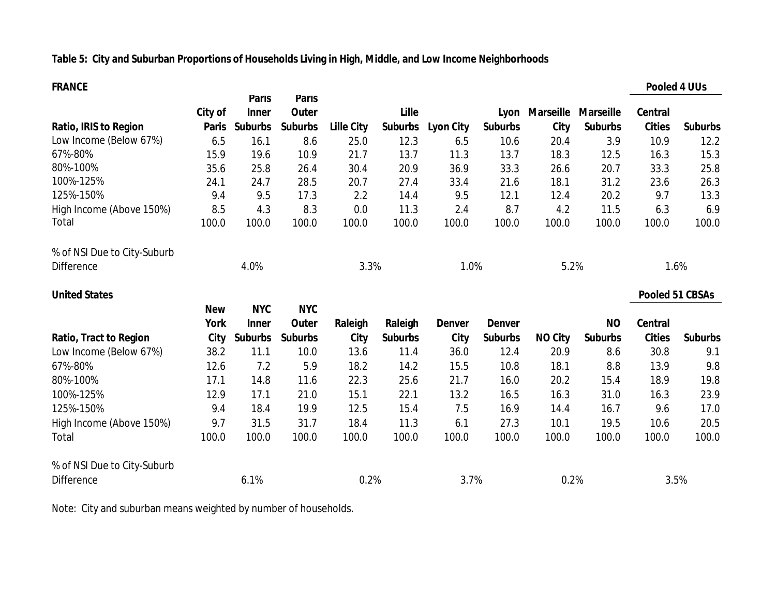## **Table 5: City and Suburban Proportions of Households Living in High, Middle, and Low Income Neighborhoods**

| <b>FRANCE</b>                 |              |                              |                              |                   |                |                  |                |                |                  |                | <b>Pooled 4 UUs</b> |
|-------------------------------|--------------|------------------------------|------------------------------|-------------------|----------------|------------------|----------------|----------------|------------------|----------------|---------------------|
|                               | City of      | <b>Paris</b><br><b>Inner</b> | <b>Paris</b><br><b>Outer</b> |                   | Lille          |                  |                | Lyon Marseille | <b>Marseille</b> | <b>Central</b> |                     |
| <b>Ratio, IRIS to Region</b>  | <b>Paris</b> | <b>Suburbs</b>               | <b>Suburbs</b>               | <b>Lille City</b> | <b>Suburbs</b> | <b>Lyon City</b> | <b>Suburbs</b> | City           | <b>Suburbs</b>   | <b>Cities</b>  | <b>Suburbs</b>      |
| Low Income (Below 67%)        | 6.5          | 16.1                         | 8.6                          | 25.0              | 12.3           | 6.5              | 10.6           | 20.4           | 3.9              | 10.9           | 12.2                |
| 67%-80%                       | 15.9         | 19.6                         | 10.9                         | 21.7              | 13.7           | 11.3             | 13.7           | 18.3           | 12.5             | 16.3           | 15.3                |
| 80%-100%                      | 35.6         | 25.8                         | 26.4                         | 30.4              | 20.9           | 36.9             | 33.3           | 26.6           | 20.7             | 33.3           | 25.8                |
| 100%-125%                     | 24.1         | 24.7                         | 28.5                         | 20.7              | 27.4           | 33.4             | 21.6           | 18.1           | 31.2             | 23.6           | 26.3                |
| 125%-150%                     | 9.4          | 9.5                          | 17.3                         | 2.2               | 14.4           | 9.5              | 12.1           | 12.4           | 20.2             | 9.7            | 13.3                |
| High Income (Above 150%)      | 8.5          | 4.3                          | 8.3                          | 0.0               | 11.3           | 2.4              | 8.7            | 4.2            | 11.5             | 6.3            | 6.9                 |
| Total                         | 100.0        | 100.0                        | 100.0                        | 100.0             | 100.0          | 100.0            | 100.0          | 100.0          | 100.0            | 100.0          | 100.0               |
| % of NSI Due to City-Suburb   |              |                              |                              |                   |                |                  |                |                |                  |                |                     |
| <b>Difference</b>             |              | 4.0%                         |                              | 3.3%              |                | 1.0%             |                | 5.2%           |                  |                | 1.6%                |
| <b>United States</b>          |              |                              |                              |                   |                |                  |                |                |                  |                | Pooled 51 CBSAs     |
|                               | <b>New</b>   | <b>NYC</b>                   | <b>NYC</b>                   |                   |                |                  |                |                |                  |                |                     |
|                               | <b>York</b>  | <b>Inner</b>                 | Outer                        | Raleigh           | Raleigh        | <b>Denver</b>    | <b>Denver</b>  |                | <b>NO</b>        | <b>Central</b> |                     |
| <b>Ratio, Tract to Region</b> | City         | <b>Suburbs</b>               | <b>Suburbs</b>               | City              | <b>Suburbs</b> | <b>City</b>      | <b>Suburbs</b> | <b>NO City</b> | <b>Suburbs</b>   | <b>Cities</b>  | <b>Suburbs</b>      |
| Low Income (Below 67%)        | 38.2         | 11.1                         | 10.0                         | 13.6              | 11.4           | 36.0             | 12.4           | 20.9           | 8.6              | 30.8           | 9.1                 |
| 67%-80%                       | 12.6         | 7.2                          | 5.9                          | 18.2              | 14.2           | 15.5             | 10.8           | 18.1           | 8.8              | 13.9           | 9.8                 |
| 80%-100%                      | 17.1         | 14.8                         | 11.6                         | 22.3              | 25.6           | 21.7             | 16.0           | 20.2           | 15.4             | 18.9           | 19.8                |
| 100%-125%                     | 12.9         | 17.1                         | 21.0                         | 15.1              | 22.1           | 13.2             | 16.5           | 16.3           | 31.0             | 16.3           | 23.9                |
| 125%-150%                     | 9.4          | 18.4                         | 19.9                         | 12.5              | 15.4           | 7.5              | 16.9           | 14.4           | 16.7             | 9.6            | 17.0                |
| High Income (Above 150%)      | 9.7          | 31.5                         | 31.7                         | 18.4              | 11.3           | 6.1              | 27.3           | 10.1           | 19.5             | 10.6           | 20.5                |
| Total                         | 100.0        | 100.0                        | 100.0                        | 100.0             | 100.0          | 100.0            | 100.0          | 100.0          | 100.0            | 100.0          | 100.0               |
| % of NSI Due to City-Suburb   |              |                              |                              |                   |                |                  |                |                |                  |                |                     |
| <b>Difference</b>             |              | 6.1%                         |                              | 0.2%              |                | 3.7%             |                | 0.2%           |                  |                | 3.5%                |

Note: City and suburban means weighted by number of households.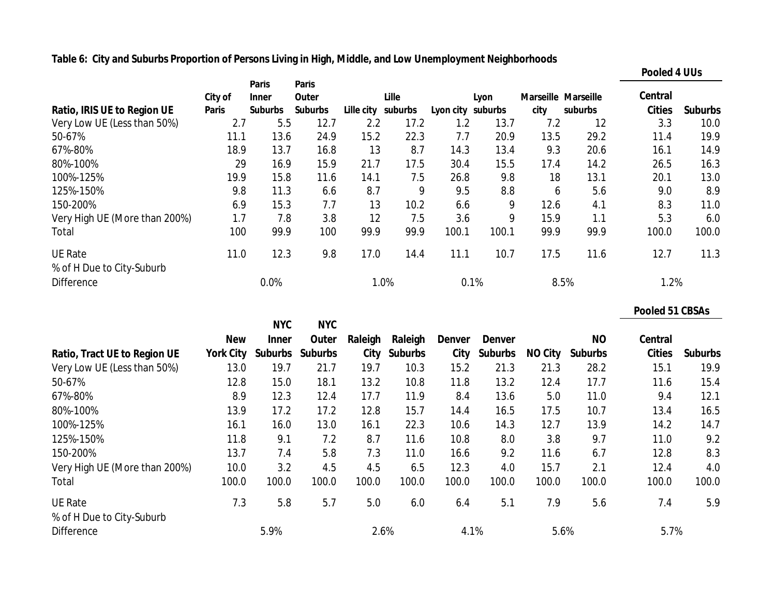## **Table 6: City and Suburbs Proportion of Persons Living in High, Middle, and Low Unemployment Neighborhoods**

|                               |              |                              |                       |            |         |                   |       |      |                     | <b>Pooled 4 UUs</b> |                |
|-------------------------------|--------------|------------------------------|-----------------------|------------|---------|-------------------|-------|------|---------------------|---------------------|----------------|
|                               | City of      | <b>Paris</b><br><b>Inner</b> | <b>Paris</b><br>Outer |            | Lille   |                   | Lyon  |      | Marseille Marseille | Central             |                |
| Ratio, IRIS UE to Region UE   | <b>Paris</b> | <b>Suburbs</b>               | <b>Suburbs</b>        | Lille city | suburbs | Lyon city suburbs |       | city | suburbs             | <b>Cities</b>       | <b>Suburbs</b> |
| Very Low UE (Less than 50%)   | 2.7          | 5.5                          | 12.7                  | 2.2        | 17.2    | 1.2               | 13.7  | 7.2  | 12                  | 3.3                 | 10.0           |
| 50-67%                        | 11.1         | 13.6                         | 24.9                  | 15.2       | 22.3    | 7.7               | 20.9  | 13.5 | 29.2                | 11.4                | 19.9           |
| 67%-80%                       | 18.9         | 13.7                         | 16.8                  | 13         | 8.7     | 14.3              | 13.4  | 9.3  | 20.6                | 16.1                | 14.9           |
| 80%-100%                      | 29           | 16.9                         | 15.9                  | 21.7       | 17.5    | 30.4              | 15.5  | 17.4 | 14.2                | 26.5                | 16.3           |
| 100%-125%                     | 19.9         | 15.8                         | 11.6                  | 14.1       | 7.5     | 26.8              | 9.8   | 18   | 13.1                | 20.1                | 13.0           |
| 125%-150%                     | 9.8          | 11.3                         | 6.6                   | 8.7        | 9       | 9.5               | 8.8   | 6    | 5.6                 | 9.0                 | 8.9            |
| 150-200%                      | 6.9          | 15.3                         | 7.7                   | 13         | 10.2    | 6.6               | 9     | 12.6 | 4.1                 | 8.3                 | 11.0           |
| Very High UE (More than 200%) | 1.7          | 7.8                          | 3.8                   | 12         | 7.5     | 3.6               | 9     | 15.9 | 1.1                 | 5.3                 | 6.0            |
| Total                         | 100          | 99.9                         | 100                   | 99.9       | 99.9    | 100.1             | 100.1 | 99.9 | 99.9                | 100.0               | 100.0          |
| <b>UE Rate</b>                | 11.0         | 12.3                         | 9.8                   | 17.0       | 14.4    | 11.1              | 10.7  | 17.5 | 11.6                | 12.7                | 11.3           |
| % of H Due to City-Suburb     |              |                              |                       |            |         |                   |       |      |                     |                     |                |
| <b>Difference</b>             |              | 0.0%                         |                       |            | 1.0%    |                   | 0.1%  |      | 8.5%                | 1.2%                |                |

|                                             |                  |                            |                     |         |              |               |                |                |                | <b>Pooled 51 CBSAs</b> |                |
|---------------------------------------------|------------------|----------------------------|---------------------|---------|--------------|---------------|----------------|----------------|----------------|------------------------|----------------|
|                                             | <b>New</b>       | <b>NYC</b><br><b>Inner</b> | <b>NYC</b><br>Outer | Raleigh | Raleigh      | <b>Denver</b> | <b>Denver</b>  |                | <b>NO</b>      | <b>Central</b>         |                |
| Ratio, Tract UE to Region UE                | <b>York City</b> |                            | Suburbs Suburbs     |         | City Suburbs | City          | <b>Suburbs</b> | <b>NO City</b> | <b>Suburbs</b> | <b>Cities</b>          | <b>Suburbs</b> |
| Very Low UE (Less than 50%)                 | 13.0             | 19.7                       | 21.7                | 19.7    | 10.3         | 15.2          | 21.3           | 21.3           | 28.2           | 15.1                   | 19.9           |
| 50-67%                                      | 12.8             | 15.0                       | 18.1                | 13.2    | 10.8         | 11.8          | 13.2           | 12.4           | 17.7           | 11.6                   | 15.4           |
| 67%-80%                                     | 8.9              | 12.3                       | 12.4                | 17.7    | 11.9         | 8.4           | 13.6           | 5.0            | 11.0           | 9.4                    | 12.1           |
| 80%-100%                                    | 13.9             | 17.2                       | 17.2                | 12.8    | 15.7         | 14.4          | 16.5           | 17.5           | 10.7           | 13.4                   | 16.5           |
| 100%-125%                                   | 16.1             | 16.0                       | 13.0                | 16.1    | 22.3         | 10.6          | 14.3           | 12.7           | 13.9           | 14.2                   | 14.7           |
| 125%-150%                                   | 11.8             | 9.1                        | 7.2                 | 8.7     | 11.6         | 10.8          | 8.0            | 3.8            | 9.7            | 11.0                   | 9.2            |
| 150-200%                                    | 13.7             | 7.4                        | 5.8                 | 7.3     | 11.0         | 16.6          | 9.2            | 11.6           | 6.7            | 12.8                   | 8.3            |
| Very High UE (More than 200%)               | 10.0             | 3.2                        | 4.5                 | 4.5     | 6.5          | 12.3          | 4.0            | 15.7           | 2.1            | 12.4                   | 4.0            |
| Total                                       | 100.0            | 100.0                      | 100.0               | 100.0   | 100.0        | 100.0         | 100.0          | 100.0          | 100.0          | 100.0                  | 100.0          |
| <b>UE Rate</b><br>% of H Due to City-Suburb | 7.3              | 5.8                        | 5.7                 | 5.0     | 6.0          | 6.4           | 5.1            | 7.9            | 5.6            | 7.4                    | 5.9            |
| <b>Difference</b>                           |                  | 5.9%                       |                     | 2.6%    |              | 4.1%          |                | 5.6%           |                | 5.7%                   |                |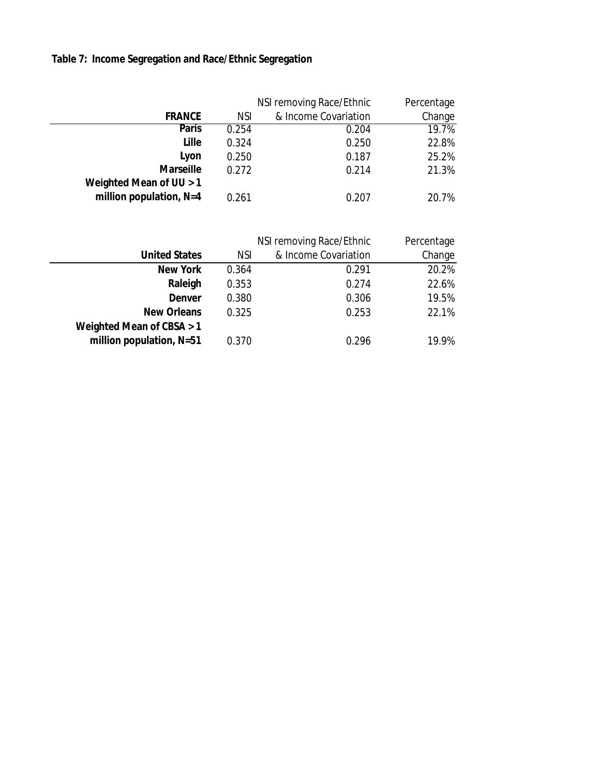# **Table 7: Income Segregation and Race/Ethnic Segregation**

|                           |            | NSI removing Race/Ethnic | Percentage |
|---------------------------|------------|--------------------------|------------|
| <b>FRANCE</b>             | <b>NSI</b> | & Income Covariation     | Change     |
| <b>Paris</b>              | 0.254      | 0.204                    | 19.7%      |
| Lille                     | 0.324      | 0.250                    | 22.8%      |
| Lyon                      | 0.250      | 0.187                    | 25.2%      |
| <b>Marseille</b>          | 0.272      | 0.214                    | 21.3%      |
| Weighted Mean of UU > 1   |            |                          |            |
| million population, $N=4$ | 0.261      | 0.207                    | 20.7%      |

|                             | NSI removing Race/Ethnic | Percentage           |        |
|-----------------------------|--------------------------|----------------------|--------|
| <b>United States</b>        | <b>NSI</b>               | & Income Covariation | Change |
| <b>New York</b>             | 0.364                    | 0.291                | 20.2%  |
| Raleigh                     | 0.353                    | 0.274                | 22.6%  |
| <b>Denver</b>               | 0.380                    | 0.306                | 19.5%  |
| <b>New Orleans</b>          | 0.325                    | 0.253                | 22.1%  |
| Weighted Mean of CBSA $> 1$ |                          |                      |        |
| million population, N=51    | 0.370                    | 0.296                | 19.9%  |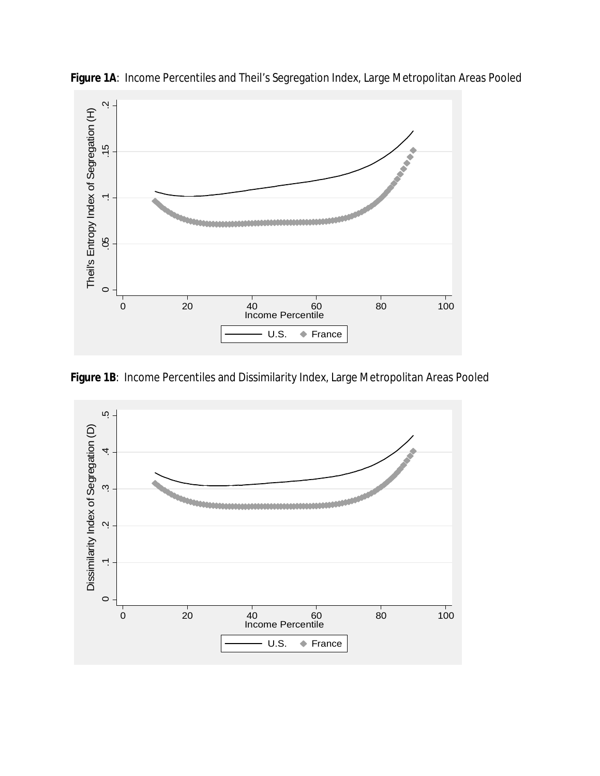

**Figure 1A**: Income Percentiles and Theil's Segregation Index, Large Metropolitan Areas Pooled

**Figure 1B**: Income Percentiles and Dissimilarity Index, Large Metropolitan Areas Pooled